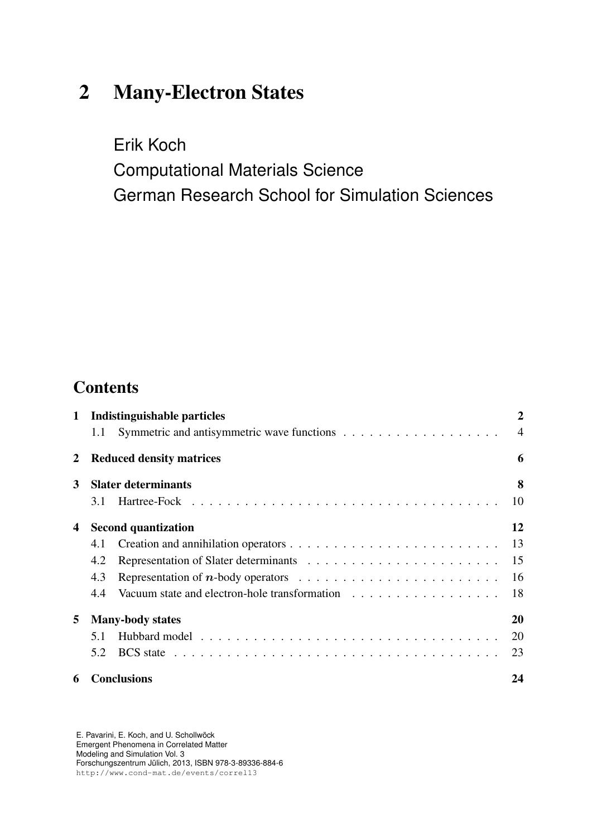# 2 Many-Electron States

Erik Koch

Computational Materials Science

German Research School for Simulation Sciences

## **Contents**

| $\mathbf{1}$ | <b>Indistinguishable particles</b> |                    |                |  |  |  |  |  |  |  |  |
|--------------|------------------------------------|--------------------|----------------|--|--|--|--|--|--|--|--|
|              | 1.1                                |                    | $\overline{4}$ |  |  |  |  |  |  |  |  |
| 2            | <b>Reduced density matrices</b>    |                    |                |  |  |  |  |  |  |  |  |
| 3            | <b>Slater determinants</b>         |                    |                |  |  |  |  |  |  |  |  |
|              | 3.1                                |                    | 10             |  |  |  |  |  |  |  |  |
| 4            | <b>Second quantization</b>         |                    |                |  |  |  |  |  |  |  |  |
|              | 4.1                                |                    | 13             |  |  |  |  |  |  |  |  |
|              | 4.2                                |                    | 15             |  |  |  |  |  |  |  |  |
|              | 4.3                                |                    | 16             |  |  |  |  |  |  |  |  |
|              | 4.4                                |                    | 18             |  |  |  |  |  |  |  |  |
| 5            | <b>Many-body states</b>            |                    |                |  |  |  |  |  |  |  |  |
|              | 5.1                                |                    | 20             |  |  |  |  |  |  |  |  |
|              | 5.2                                |                    | 23             |  |  |  |  |  |  |  |  |
| 6            |                                    | <b>Conclusions</b> | 24             |  |  |  |  |  |  |  |  |

E. Pavarini, E. Koch, and U. Schollwöck Emergent Phenomena in Correlated Matter Modeling and Simulation Vol. 3 Forschungszentrum Julich, 2013, ISBN 978-3-89336-884-6 ¨ <http://www.cond-mat.de/events/correl13>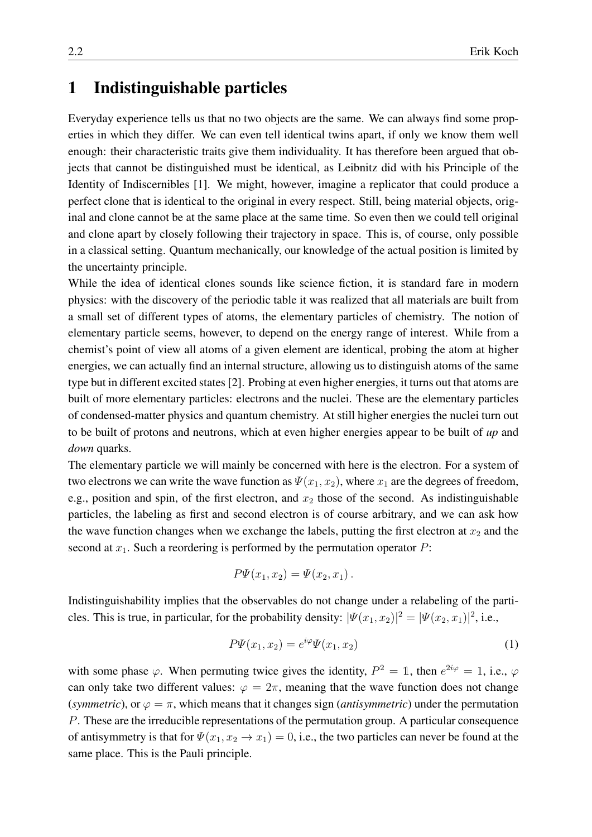### <span id="page-1-0"></span>1 Indistinguishable particles

Everyday experience tells us that no two objects are the same. We can always find some properties in which they differ. We can even tell identical twins apart, if only we know them well enough: their characteristic traits give them individuality. It has therefore been argued that objects that cannot be distinguished must be identical, as Leibnitz did with his Principle of the Identity of Indiscernibles [\[1\]](#page-24-0). We might, however, imagine a replicator that could produce a perfect clone that is identical to the original in every respect. Still, being material objects, original and clone cannot be at the same place at the same time. So even then we could tell original and clone apart by closely following their trajectory in space. This is, of course, only possible in a classical setting. Quantum mechanically, our knowledge of the actual position is limited by the uncertainty principle.

While the idea of identical clones sounds like science fiction, it is standard fare in modern physics: with the discovery of the periodic table it was realized that all materials are built from a small set of different types of atoms, the elementary particles of chemistry. The notion of elementary particle seems, however, to depend on the energy range of interest. While from a chemist's point of view all atoms of a given element are identical, probing the atom at higher energies, we can actually find an internal structure, allowing us to distinguish atoms of the same type but in different excited states [\[2\]](#page-24-1). Probing at even higher energies, it turns out that atoms are built of more elementary particles: electrons and the nuclei. These are the elementary particles of condensed-matter physics and quantum chemistry. At still higher energies the nuclei turn out to be built of protons and neutrons, which at even higher energies appear to be built of *up* and *down* quarks.

The elementary particle we will mainly be concerned with here is the electron. For a system of two electrons we can write the wave function as  $\Psi(x_1, x_2)$ , where  $x_1$  are the degrees of freedom, e.g., position and spin, of the first electron, and  $x_2$  those of the second. As indistinguishable particles, the labeling as first and second electron is of course arbitrary, and we can ask how the wave function changes when we exchange the labels, putting the first electron at  $x_2$  and the second at  $x_1$ . Such a reordering is performed by the permutation operator  $P$ :

$$
P\Psi(x_1,x_2)=\Psi(x_2,x_1).
$$

Indistinguishability implies that the observables do not change under a relabeling of the particles. This is true, in particular, for the probability density:  $|\Psi(x_1, x_2)|^2 = |\Psi(x_2, x_1)|^2$ , i.e.,

<span id="page-1-1"></span>
$$
P\Psi(x_1, x_2) = e^{i\varphi} \Psi(x_1, x_2)
$$
\n<sup>(1)</sup>

with some phase  $\varphi$ . When permuting twice gives the identity,  $P^2 = 1$ , then  $e^{2i\varphi} = 1$ , i.e.,  $\varphi$ can only take two different values:  $\varphi = 2\pi$ , meaning that the wave function does not change (*symmetric*), or  $\varphi = \pi$ , which means that it changes sign (*antisymmetric*) under the permutation P. These are the irreducible representations of the permutation group. A particular consequence of antisymmetry is that for  $\Psi(x_1, x_2 \to x_1) = 0$ , i.e., the two particles can never be found at the same place. This is the Pauli principle.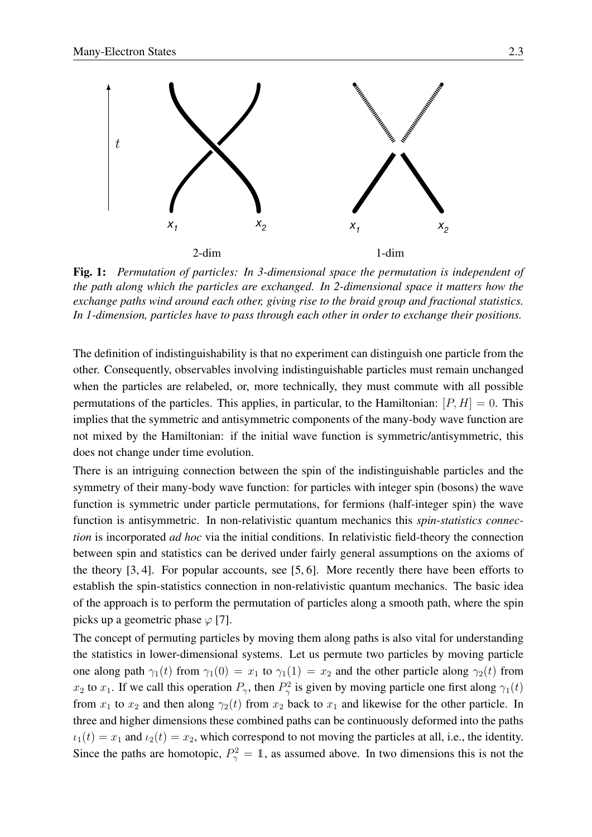

<span id="page-2-0"></span>Fig. 1: *Permutation of particles: In 3-dimensional space the permutation is independent of the path along which the particles are exchanged. In 2-dimensional space it matters how the exchange paths wind around each other, giving rise to the braid group and fractional statistics. In 1-dimension, particles have to pass through each other in order to exchange their positions.*

The definition of indistinguishability is that no experiment can distinguish one particle from the other. Consequently, observables involving indistinguishable particles must remain unchanged when the particles are relabeled, or, more technically, they must commute with all possible permutations of the particles. This applies, in particular, to the Hamiltonian:  $[P, H] = 0$ . This implies that the symmetric and antisymmetric components of the many-body wave function are not mixed by the Hamiltonian: if the initial wave function is symmetric/antisymmetric, this does not change under time evolution.

There is an intriguing connection between the spin of the indistinguishable particles and the symmetry of their many-body wave function: for particles with integer spin (bosons) the wave function is symmetric under particle permutations, for fermions (half-integer spin) the wave function is antisymmetric. In non-relativistic quantum mechanics this *spin-statistics connection* is incorporated *ad hoc* via the initial conditions. In relativistic field-theory the connection between spin and statistics can be derived under fairly general assumptions on the axioms of the theory [\[3,](#page-24-2) [4\]](#page-24-3). For popular accounts, see [\[5,](#page-24-4) [6\]](#page-24-5). More recently there have been efforts to establish the spin-statistics connection in non-relativistic quantum mechanics. The basic idea of the approach is to perform the permutation of particles along a smooth path, where the spin picks up a geometric phase  $\varphi$  [\[7\]](#page-24-6).

The concept of permuting particles by moving them along paths is also vital for understanding the statistics in lower-dimensional systems. Let us permute two particles by moving particle one along path  $\gamma_1(t)$  from  $\gamma_1(0) = x_1$  to  $\gamma_1(1) = x_2$  and the other particle along  $\gamma_2(t)$  from  $x_2$  to  $x_1$ . If we call this operation  $P_\gamma$ , then  $P_\gamma^2$  is given by moving particle one first along  $\gamma_1(t)$ from  $x_1$  to  $x_2$  and then along  $\gamma_2(t)$  from  $x_2$  back to  $x_1$  and likewise for the other particle. In three and higher dimensions these combined paths can be continuously deformed into the paths  $\iota_1(t) = x_1$  and  $\iota_2(t) = x_2$ , which correspond to not moving the particles at all, i.e., the identity. Since the paths are homotopic,  $P_{\gamma}^2 = 1$ , as assumed above. In two dimensions this is not the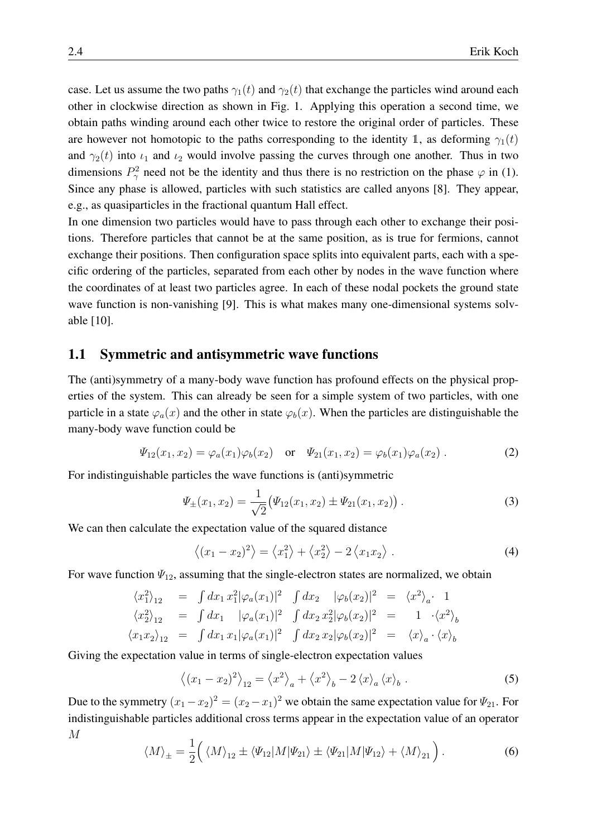case. Let us assume the two paths  $\gamma_1(t)$  and  $\gamma_2(t)$  that exchange the particles wind around each other in clockwise direction as shown in Fig. [1.](#page-2-0) Applying this operation a second time, we obtain paths winding around each other twice to restore the original order of particles. These are however not homotopic to the paths corresponding to the identity 1, as deforming  $\gamma_1(t)$ and  $\gamma_2(t)$  into  $\iota_1$  and  $\iota_2$  would involve passing the curves through one another. Thus in two dimensions  $P^2_\gamma$  need not be the identity and thus there is no restriction on the phase  $\varphi$  in [\(1\)](#page-1-1). Since any phase is allowed, particles with such statistics are called anyons [\[8\]](#page-24-7). They appear, e.g., as quasiparticles in the fractional quantum Hall effect.

In one dimension two particles would have to pass through each other to exchange their positions. Therefore particles that cannot be at the same position, as is true for fermions, cannot exchange their positions. Then configuration space splits into equivalent parts, each with a specific ordering of the particles, separated from each other by nodes in the wave function where the coordinates of at least two particles agree. In each of these nodal pockets the ground state wave function is non-vanishing [\[9\]](#page-24-8). This is what makes many one-dimensional systems solvable [\[10\]](#page-24-9).

#### <span id="page-3-0"></span>1.1 Symmetric and antisymmetric wave functions

The (anti)symmetry of a many-body wave function has profound effects on the physical properties of the system. This can already be seen for a simple system of two particles, with one particle in a state  $\varphi_a(x)$  and the other in state  $\varphi_b(x)$ . When the particles are distinguishable the many-body wave function could be

$$
\Psi_{12}(x_1, x_2) = \varphi_a(x_1)\varphi_b(x_2) \quad \text{or} \quad \Psi_{21}(x_1, x_2) = \varphi_b(x_1)\varphi_a(x_2) \ . \tag{2}
$$

For indistinguishable particles the wave functions is (anti)symmetric

$$
\Psi_{\pm}(x_1, x_2) = \frac{1}{\sqrt{2}} \big( \Psi_{12}(x_1, x_2) \pm \Psi_{21}(x_1, x_2) \big) . \tag{3}
$$

We can then calculate the expectation value of the squared distance

$$
\langle (x_1 - x_2)^2 \rangle = \langle x_1^2 \rangle + \langle x_2^2 \rangle - 2 \langle x_1 x_2 \rangle . \tag{4}
$$

For wave function  $\Psi_{12}$ , assuming that the single-electron states are normalized, we obtain

$$
\langle x_1^2 \rangle_{12} = \int dx_1 \, x_1^2 |\varphi_a(x_1)|^2 \, \int dx_2 \, |\varphi_b(x_2)|^2 = \langle x^2 \rangle_a.
$$
  
\n
$$
\langle x_2^2 \rangle_{12} = \int dx_1 \, |\varphi_a(x_1)|^2 \, \int dx_2 \, x_2^2 |\varphi_b(x_2)|^2 = 1 \cdot \langle x^2 \rangle_b
$$
  
\n
$$
\langle x_1 x_2 \rangle_{12} = \int dx_1 \, x_1 |\varphi_a(x_1)|^2 \, \int dx_2 \, x_2 |\varphi_b(x_2)|^2 = \langle x \rangle_a \cdot \langle x \rangle_b
$$

Giving the expectation value in terms of single-electron expectation values

$$
\left\langle (x_1 - x_2)^2 \right\rangle_{12} = \left\langle x^2 \right\rangle_a + \left\langle x^2 \right\rangle_b - 2 \left\langle x \right\rangle_a \left\langle x \right\rangle_b . \tag{5}
$$

Due to the symmetry  $(x_1-x_2)^2 = (x_2-x_1)^2$  we obtain the same expectation value for  $\Psi_{21}$ . For indistinguishable particles additional cross terms appear in the expectation value of an operator M

$$
\langle M \rangle_{\pm} = \frac{1}{2} \Big( \langle M \rangle_{12} \pm \langle \Psi_{12} | M | \Psi_{21} \rangle \pm \langle \Psi_{21} | M | \Psi_{12} \rangle + \langle M \rangle_{21} \Big).
$$
 (6)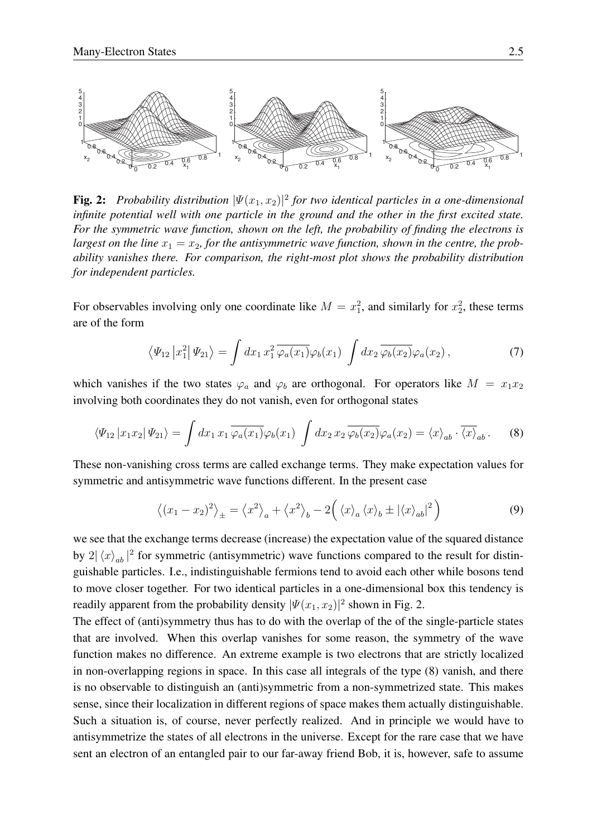

<span id="page-4-0"></span>**Fig. 2:** Probability distribution  $|\Psi(x_1, x_2)|^2$  for two identical particles in a one-dimensional *infinite potential well with one particle in the ground and the other in the first excited state. For the symmetric wave function, shown on the left, the probability of finding the electrons is* largest on the line  $x_1 = x_2$ , for the antisymmetric wave function, shown in the centre, the prob*ability vanishes there. For comparison, the right-most plot shows the probability distribution for independent particles.*

For observables involving only one coordinate like  $M = x_1^2$ , and similarly for  $x_2^2$ , these terms are of the form

$$
\langle \Psi_{12} | x_1^2 | \Psi_{21} \rangle = \int dx_1 x_1^2 \overline{\varphi_a(x_1)} \varphi_b(x_1) \int dx_2 \overline{\varphi_b(x_2)} \varphi_a(x_2) , \qquad (7)
$$

which vanishes if the two states  $\varphi_a$  and  $\varphi_b$  are orthogonal. For operators like  $M = x_1x_2$ involving both coordinates they do not vanish, even for orthogonal states

<span id="page-4-1"></span>
$$
\langle \Psi_{12} | x_1 x_2 | \Psi_{21} \rangle = \int dx_1 \, x_1 \, \overline{\varphi_a(x_1)} \varphi_b(x_1) \, \int dx_2 \, x_2 \, \overline{\varphi_b(x_2)} \varphi_a(x_2) = \langle x \rangle_{ab} \cdot \overline{\langle x \rangle}_{ab} \,. \tag{8}
$$

These non-vanishing cross terms are called exchange terms. They make expectation values for symmetric and antisymmetric wave functions different. In the present case

$$
\left\langle (x_1 - x_2)^2 \right\rangle_{\pm} = \left\langle x^2 \right\rangle_a + \left\langle x^2 \right\rangle_b - 2 \left( \left\langle x \right\rangle_a \left\langle x \right\rangle_b \pm \left| \left\langle x \right\rangle_{ab} \right|^2 \right) \tag{9}
$$

we see that the exchange terms decrease (increase) the expectation value of the squared distance by  $2|\langle x \rangle_{ab}|^2$  for symmetric (antisymmetric) wave functions compared to the result for distinguishable particles. I.e., indistinguishable fermions tend to avoid each other while bosons tend to move closer together. For two identical particles in a one-dimensional box this tendency is readily apparent from the probability density  $|\Psi(x_1, x_2)|^2$  shown in Fig. [2.](#page-4-0)

The effect of (anti)symmetry thus has to do with the overlap of the of the single-particle states that are involved. When this overlap vanishes for some reason, the symmetry of the wave function makes no difference. An extreme example is two electrons that are strictly localized in non-overlapping regions in space. In this case all integrals of the type [\(8\)](#page-4-1) vanish, and there is no observable to distinguish an (anti)symmetric from a non-symmetrized state. This makes sense, since their localization in different regions of space makes them actually distinguishable. Such a situation is, of course, never perfectly realized. And in principle we would have to antisymmetrize the states of all electrons in the universe. Except for the rare case that we have sent an electron of an entangled pair to our far-away friend Bob, it is, however, safe to assume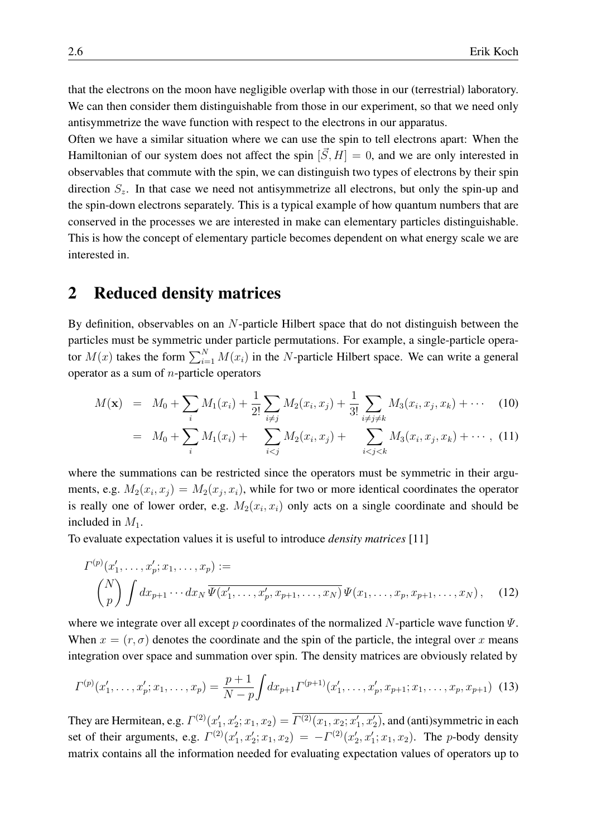that the electrons on the moon have negligible overlap with those in our (terrestrial) laboratory. We can then consider them distinguishable from those in our experiment, so that we need only antisymmetrize the wave function with respect to the electrons in our apparatus.

Often we have a similar situation where we can use the spin to tell electrons apart: When the Hamiltonian of our system does not affect the spin  $[\vec{S}, H] = 0$ , and we are only interested in observables that commute with the spin, we can distinguish two types of electrons by their spin direction  $S_z$ . In that case we need not antisymmetrize all electrons, but only the spin-up and the spin-down electrons separately. This is a typical example of how quantum numbers that are conserved in the processes we are interested in make can elementary particles distinguishable. This is how the concept of elementary particle becomes dependent on what energy scale we are interested in.

### <span id="page-5-0"></span>2 Reduced density matrices

By definition, observables on an N-particle Hilbert space that do not distinguish between the particles must be symmetric under particle permutations. For example, a single-particle operator  $M(x)$  takes the form  $\sum_{i=1}^{N} M(x_i)$  in the N-particle Hilbert space. We can write a general operator as a sum of  $n$ -particle operators

<span id="page-5-3"></span>
$$
M(\mathbf{x}) = M_0 + \sum_i M_1(x_i) + \frac{1}{2!} \sum_{i \neq j} M_2(x_i, x_j) + \frac{1}{3!} \sum_{i \neq j \neq k} M_3(x_i, x_j, x_k) + \cdots
$$
 (10)

<span id="page-5-1"></span>
$$
= M_0 + \sum_i M_1(x_i) + \sum_{i < j} M_2(x_i, x_j) + \sum_{i < j < k} M_3(x_i, x_j, x_k) + \cdots, \tag{11}
$$

where the summations can be restricted since the operators must be symmetric in their arguments, e.g.  $M_2(x_i, x_j) = M_2(x_j, x_i)$ , while for two or more identical coordinates the operator is really one of lower order, e.g.  $M_2(x_i, x_i)$  only acts on a single coordinate and should be included in  $M_1$ .

To evaluate expectation values it is useful to introduce *density matrices* [\[11\]](#page-24-10)

$$
\Gamma^{(p)}(x'_1, \dots, x'_p; x_1, \dots, x_p) :=
$$
\n
$$
\binom{N}{p} \int dx_{p+1} \cdots dx_N \overline{\Psi(x'_1, \dots, x'_p, x_{p+1}, \dots, x_N)} \Psi(x_1, \dots, x_p, x_{p+1}, \dots, x_N), \quad (12)
$$

where we integrate over all except p coordinates of the normalized N-particle wave function  $\Psi$ . When  $x = (r, \sigma)$  denotes the coordinate and the spin of the particle, the integral over x means integration over space and summation over spin. The density matrices are obviously related by

<span id="page-5-2"></span>
$$
\Gamma^{(p)}(x'_1,\ldots,x'_p;x_1,\ldots,x_p) = \frac{p+1}{N-p} \int dx_{p+1} \Gamma^{(p+1)}(x'_1,\ldots,x'_p,x_{p+1};x_1,\ldots,x_p,x_{p+1}) \tag{13}
$$

They are Hermitean, e.g.  $\Gamma^{(2)}(x_1', x_2'; x_1, x_2) = \Gamma^{(2)}(x_1, x_2; x_1', x_2')$ , and (anti)symmetric in each set of their arguments, e.g.  $\Gamma^{(2)}(x_1', x_2'; x_1, x_2) = -\Gamma^{(2)}(x_2', x_1'; x_1, x_2)$ . The *p*-body density matrix contains all the information needed for evaluating expectation values of operators up to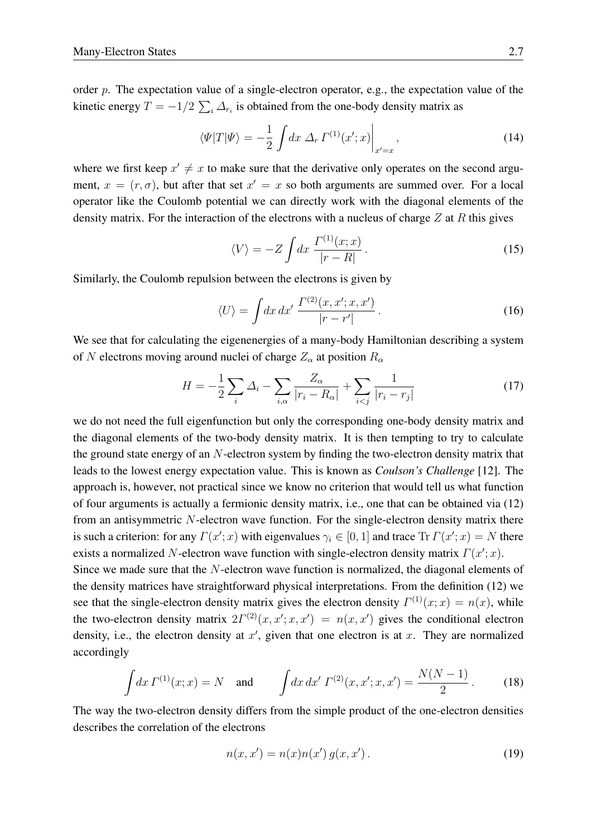order  $p$ . The expectation value of a single-electron operator, e.g., the expectation value of the kinetic energy  $T = -1/2 \sum_i \Delta_{r_i}$  is obtained from the one-body density matrix as

$$
\langle \Psi | T | \Psi \rangle = -\frac{1}{2} \int dx \ \Delta_r \Gamma^{(1)}(x'; x) \Big|_{x'=x}, \tag{14}
$$

where we first keep  $x' \neq x$  to make sure that the derivative only operates on the second argument,  $x = (r, \sigma)$ , but after that set  $x' = x$  so both arguments are summed over. For a local operator like the Coulomb potential we can directly work with the diagonal elements of the density matrix. For the interaction of the electrons with a nucleus of charge  $Z$  at  $R$  this gives

$$
\langle V \rangle = -Z \int dx \, \frac{\Gamma^{(1)}(x;x)}{|r-R|} \,. \tag{15}
$$

Similarly, the Coulomb repulsion between the electrons is given by

$$
\langle U \rangle = \int dx \, dx' \, \frac{\Gamma^{(2)}(x, x'; x, x')}{|r - r'|} \,. \tag{16}
$$

We see that for calculating the eigenenergies of a many-body Hamiltonian describing a system of N electrons moving around nuclei of charge  $Z_{\alpha}$  at position  $R_{\alpha}$ 

<span id="page-6-0"></span>
$$
H = -\frac{1}{2} \sum_{i} \Delta_i - \sum_{i,\alpha} \frac{Z_{\alpha}}{|r_i - R_{\alpha}|} + \sum_{i < j} \frac{1}{|r_i - r_j|} \tag{17}
$$

we do not need the full eigenfunction but only the corresponding one-body density matrix and the diagonal elements of the two-body density matrix. It is then tempting to try to calculate the ground state energy of an  $N$ -electron system by finding the two-electron density matrix that leads to the lowest energy expectation value. This is known as *Coulson's Challenge* [\[12\]](#page-24-11). The approach is, however, not practical since we know no criterion that would tell us what function of four arguments is actually a fermionic density matrix, i.e., one that can be obtained via [\(12\)](#page-5-1) from an antisymmetric N-electron wave function. For the single-electron density matrix there is such a criterion: for any  $\Gamma(x'; x)$  with eigenvalues  $\gamma_i \in [0, 1]$  and trace  $\text{Tr} \Gamma(x'; x) = N$  there exists a normalized N-electron wave function with single-electron density matrix  $\Gamma(x'; x)$ .

Since we made sure that the N-electron wave function is normalized, the diagonal elements of the density matrices have straightforward physical interpretations. From the definition [\(12\)](#page-5-1) we see that the single-electron density matrix gives the electron density  $\Gamma^{(1)}(x;x) = n(x)$ , while the two-electron density matrix  $2\Gamma^{(2)}(x, x'; x, x') = n(x, x')$  gives the conditional electron density, i.e., the electron density at  $x'$ , given that one electron is at  $x$ . They are normalized accordingly

$$
\int dx \, \Gamma^{(1)}(x; x) = N \quad \text{and} \qquad \int dx \, dx' \, \Gamma^{(2)}(x, x'; x, x') = \frac{N(N-1)}{2} \,. \tag{18}
$$

The way the two-electron density differs from the simple product of the one-electron densities describes the correlation of the electrons

$$
n(x, x') = n(x)n(x') g(x, x').
$$
 (19)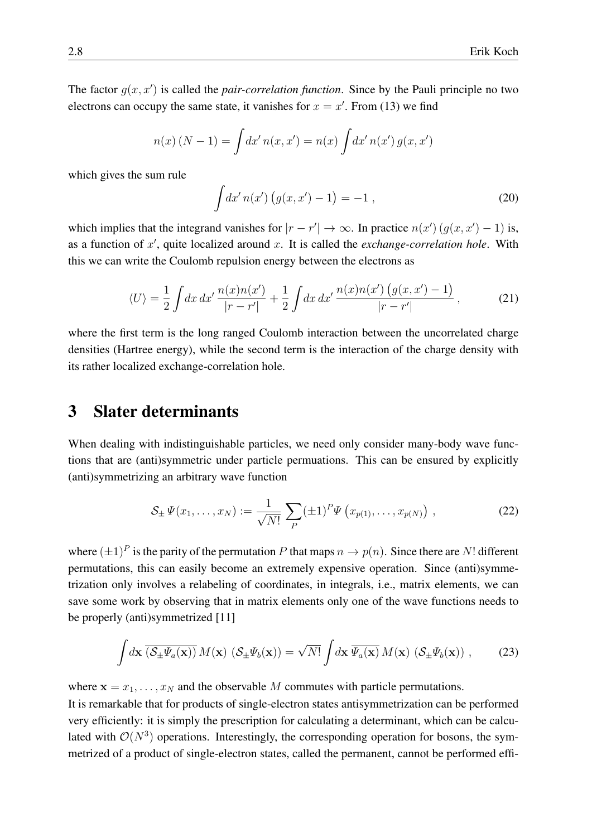The factor  $g(x, x')$  is called the *pair-correlation function*. Since by the Pauli principle no two electrons can occupy the same state, it vanishes for  $x = x'$ . From [\(13\)](#page-5-2) we find

$$
n(x) (N - 1) = \int dx' n(x, x') = n(x) \int dx' n(x') g(x, x')
$$

which gives the sum rule

<span id="page-7-3"></span>
$$
\int dx' n(x') \left( g(x, x') - 1 \right) = -1 , \qquad (20)
$$

which implies that the integrand vanishes for  $|r - r'|\to \infty$ . In practice  $n(x') (g(x, x') - 1)$  is, as a function of  $x'$ , quite localized around  $x$ . It is called the *exchange-correlation hole*. With this we can write the Coulomb repulsion energy between the electrons as

<span id="page-7-2"></span>
$$
\langle U \rangle = \frac{1}{2} \int dx \, dx' \, \frac{n(x)n(x')}{|r - r'|} + \frac{1}{2} \int dx \, dx' \, \frac{n(x)n(x') \left(g(x, x') - 1\right)}{|r - r'|},\tag{21}
$$

where the first term is the long ranged Coulomb interaction between the uncorrelated charge densities (Hartree energy), while the second term is the interaction of the charge density with its rather localized exchange-correlation hole.

### <span id="page-7-0"></span>3 Slater determinants

When dealing with indistinguishable particles, we need only consider many-body wave functions that are (anti)symmetric under particle permuations. This can be ensured by explicitly (anti)symmetrizing an arbitrary wave function

$$
S_{\pm} \Psi(x_1, \dots, x_N) := \frac{1}{\sqrt{N!}} \sum_{P} (\pm 1)^P \Psi(x_{p(1)}, \dots, x_{p(N)}) , \qquad (22)
$$

where  $(\pm 1)^P$  is the parity of the permutation P that maps  $n \to p(n)$ . Since there are N! different permutations, this can easily become an extremely expensive operation. Since (anti)symmetrization only involves a relabeling of coordinates, in integrals, i.e., matrix elements, we can save some work by observing that in matrix elements only one of the wave functions needs to be properly (anti)symmetrized [\[11\]](#page-24-10)

<span id="page-7-1"></span>
$$
\int d\mathbf{x} \, \overline{\left(\mathcal{S}_{\pm}\Psi_a(\mathbf{x})\right)} \, M(\mathbf{x}) \, \left(\mathcal{S}_{\pm}\Psi_b(\mathbf{x})\right) = \sqrt{N!} \int d\mathbf{x} \, \overline{\Psi_a(\mathbf{x})} \, M(\mathbf{x}) \, \left(\mathcal{S}_{\pm}\Psi_b(\mathbf{x})\right) \,, \tag{23}
$$

where  $x = x_1, \dots, x_N$  and the observable M commutes with particle permutations. It is remarkable that for products of single-electron states antisymmetrization can be performed very efficiently: it is simply the prescription for calculating a determinant, which can be calculated with  $\mathcal{O}(N^3)$  operations. Interestingly, the corresponding operation for bosons, the symmetrized of a product of single-electron states, called the permanent, cannot be performed effi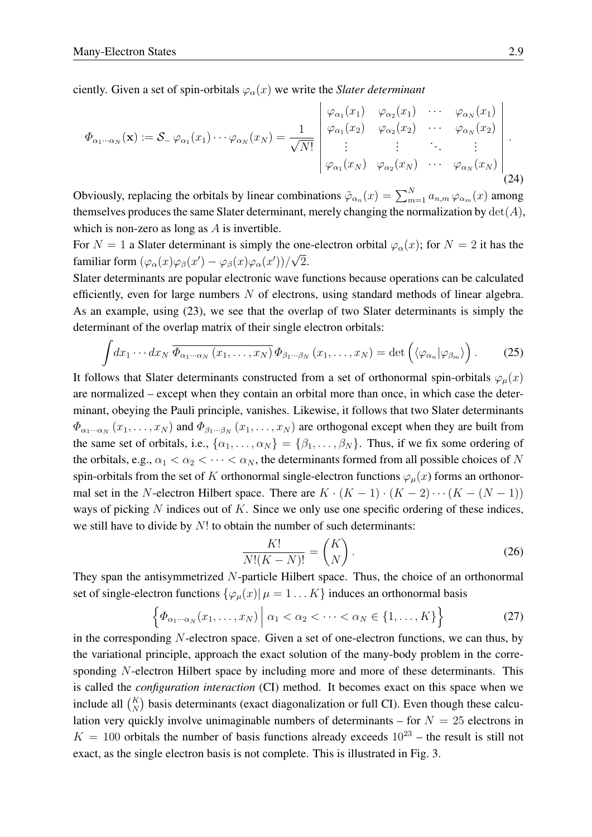ciently. Given a set of spin-orbitals  $\varphi_{\alpha}(x)$  we write the *Slater determinant* 

<span id="page-8-2"></span>
$$
\Phi_{\alpha_1\cdots\alpha_N}(\mathbf{x}) := \mathcal{S}_{-\varphi_{\alpha_1}}(x_1)\cdots\varphi_{\alpha_N}(x_N) = \frac{1}{\sqrt{N!}} \begin{bmatrix} \varphi_{\alpha_1}(x_1) & \varphi_{\alpha_2}(x_1) & \cdots & \varphi_{\alpha_N}(x_1) \\ \varphi_{\alpha_1}(x_2) & \varphi_{\alpha_2}(x_2) & \cdots & \varphi_{\alpha_N}(x_2) \\ \vdots & \vdots & \ddots & \vdots \\ \varphi_{\alpha_1}(x_N) & \varphi_{\alpha_2}(x_N) & \cdots & \varphi_{\alpha_N}(x_N) \end{bmatrix} .
$$
\n(24)

Obviously, replacing the orbitals by linear combinations  $\tilde{\varphi}_{\alpha_n}(x) = \sum_{m=1}^N a_{n,m} \varphi_{\alpha_m}(x)$  among themselves produces the same Slater determinant, merely changing the normalization by  $det(A)$ , which is non-zero as long as  $A$  is invertible.

For  $N = 1$  a Slater determinant is simply the one-electron orbital  $\varphi_{\alpha}(x)$ ; for  $N = 2$  it has the familiar form  $(\varphi_{\alpha}(x)\varphi_{\beta}(x') - \varphi_{\beta}(x)\varphi_{\alpha}(x'))/\sqrt{2}$ .

Slater determinants are popular electronic wave functions because operations can be calculated efficiently, even for large numbers  $N$  of electrons, using standard methods of linear algebra. As an example, using [\(23\)](#page-7-1), we see that the overlap of two Slater determinants is simply the determinant of the overlap matrix of their single electron orbitals:

<span id="page-8-0"></span>
$$
\int dx_1 \cdots dx_N \, \overline{\Phi_{\alpha_1 \cdots \alpha_N} \left( x_1, \ldots, x_N \right)} \, \Phi_{\beta_1 \cdots \beta_N} \left( x_1, \ldots, x_N \right) = \det \left( \langle \varphi_{\alpha_n} | \varphi_{\beta_m} \rangle \right). \tag{25}
$$

It follows that Slater determinants constructed from a set of orthonormal spin-orbitals  $\varphi_\mu(x)$ are normalized – except when they contain an orbital more than once, in which case the determinant, obeying the Pauli principle, vanishes. Likewise, it follows that two Slater determinants  $\Phi_{\alpha_1\cdots\alpha_N}(x_1,\ldots,x_N)$  and  $\Phi_{\beta_1\cdots\beta_N}(x_1,\ldots,x_N)$  are orthogonal except when they are built from the same set of orbitals, i.e.,  $\{\alpha_1, \dots, \alpha_N\} = \{\beta_1, \dots, \beta_N\}$ . Thus, if we fix some ordering of the orbitals, e.g.,  $\alpha_1 < \alpha_2 < \cdots < \alpha_N$ , the determinants formed from all possible choices of N spin-orbitals from the set of K orthonormal single-electron functions  $\varphi_{\mu}(x)$  forms an orthonormal set in the N-electron Hilbert space. There are  $K \cdot (K - 1) \cdot (K - 2) \cdots (K - (N - 1))$ ways of picking N indices out of K. Since we only use one specific ordering of these indices, we still have to divide by  $N!$  to obtain the number of such determinants:

$$
\frac{K!}{N!(K-N)!} = \binom{K}{N}.
$$
\n(26)

They span the antisymmetrized N-particle Hilbert space. Thus, the choice of an orthonormal set of single-electron functions  $\{\varphi_\mu(x) | \mu = 1 \dots K\}$  induces an orthonormal basis

<span id="page-8-1"></span>
$$
\left\{ \varPhi_{\alpha_1 \cdots \alpha_N}(x_1, \ldots, x_N) \middle| \alpha_1 < \alpha_2 < \cdots < \alpha_N \in \{1, \ldots, K\} \right\} \tag{27}
$$

in the corresponding  $N$ -electron space. Given a set of one-electron functions, we can thus, by the variational principle, approach the exact solution of the many-body problem in the corresponding N-electron Hilbert space by including more and more of these determinants. This is called the *configuration interaction* (CI) method. It becomes exact on this space when we include all  $\binom{K}{N}$  basis determinants (exact diagonalization or full CI). Even though these calculation very quickly involve unimaginable numbers of determinants – for  $N = 25$  electrons in  $K = 100$  orbitals the number of basis functions already exceeds  $10^{23}$  – the result is still not exact, as the single electron basis is not complete. This is illustrated in Fig. [3.](#page-9-1)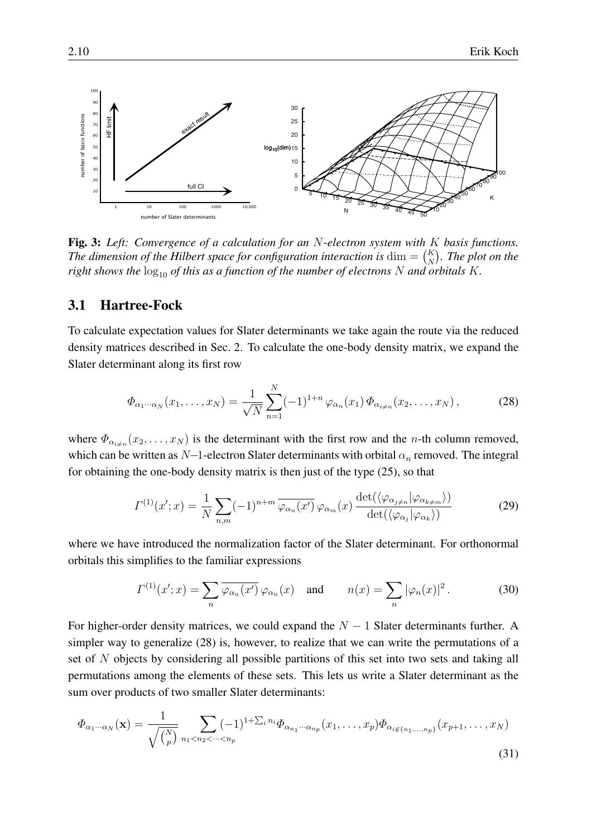

<span id="page-9-1"></span>Fig. 3: *Left: Convergence of a calculation for an* N*-electron system with* K *basis functions.* The dimension of the Hilbert space for configuration interaction is  $\dim = {K \choose N}$ . The plot on the *right shows the*  $\log_{10}$  *of this as a function of the number of electrons* N *and orbitals* K.

#### <span id="page-9-0"></span>3.1 Hartree-Fock

To calculate expectation values for Slater determinants we take again the route via the reduced density matrices described in Sec. [2.](#page-5-0) To calculate the one-body density matrix, we expand the Slater determinant along its first row

<span id="page-9-2"></span>
$$
\Phi_{\alpha_1 \cdots \alpha_N}(x_1, \ldots, x_N) = \frac{1}{\sqrt{N}} \sum_{n=1}^N (-1)^{1+n} \varphi_{\alpha_n}(x_1) \Phi_{\alpha_{i \neq n}}(x_2, \ldots, x_N), \tag{28}
$$

where  $\Phi_{\alpha_{i\neq n}}(x_2,\ldots,x_N)$  is the determinant with the first row and the *n*-th column removed, which can be written as N–1-electron Slater determinants with orbital  $\alpha_n$  removed. The integral for obtaining the one-body density matrix is then just of the type [\(25\)](#page-8-0), so that

$$
\Gamma^{(1)}(x';x) = \frac{1}{N} \sum_{n,m} (-1)^{n+m} \overline{\varphi_{\alpha_n}(x')} \varphi_{\alpha_m}(x) \frac{\det(\langle \varphi_{\alpha_{j\neq n}} | \varphi_{\alpha_{k\neq m}} \rangle)}{\det(\langle \varphi_{\alpha_j} | \varphi_{\alpha_k} \rangle)}
$$
(29)

where we have introduced the normalization factor of the Slater determinant. For orthonormal orbitals this simplifies to the familiar expressions

<span id="page-9-3"></span>
$$
\Gamma^{(1)}(x';x) = \sum_{n} \overline{\varphi_{\alpha_n}(x')} \varphi_{\alpha_n}(x) \quad \text{and} \quad n(x) = \sum_{n} |\varphi_n(x)|^2. \tag{30}
$$

For higher-order density matrices, we could expand the  $N - 1$  Slater determinants further. A simpler way to generalize [\(28\)](#page-9-2) is, however, to realize that we can write the permutations of a set of N objects by considering all possible partitions of this set into two sets and taking all permutations among the elements of these sets. This lets us write a Slater determinant as the sum over products of two smaller Slater determinants:

$$
\Phi_{\alpha_1 \cdots \alpha_N}(\mathbf{x}) = \frac{1}{\sqrt{\binom{N}{p}}} \sum_{n_1 < n_2 < \cdots < n_p} (-1)^{1 + \sum_i n_i} \Phi_{\alpha_{n_1} \cdots \alpha_{n_p}}(x_1, \dots, x_p) \Phi_{\alpha_{i \notin \{n_1, \dots, n_p\}}}(x_{p+1}, \dots, x_N) \tag{31}
$$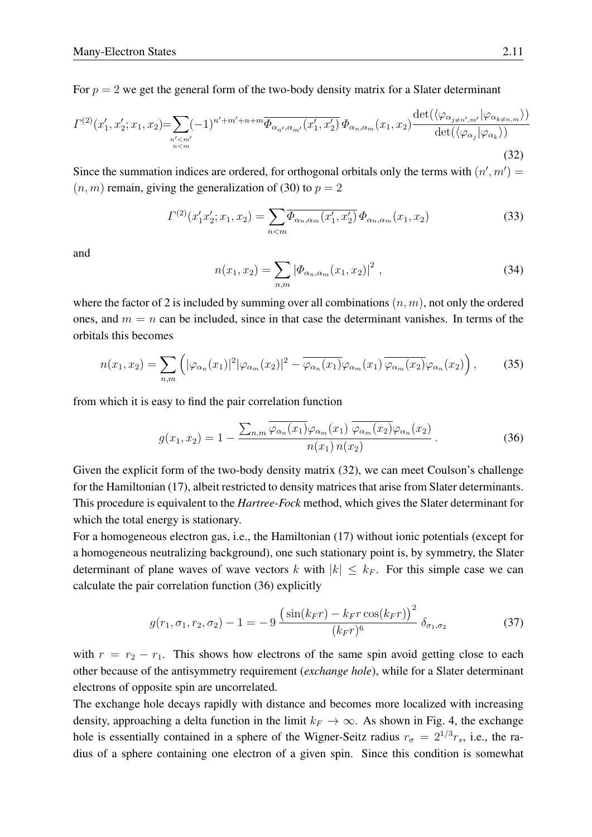For  $p = 2$  we get the general form of the two-body density matrix for a Slater determinant

<span id="page-10-0"></span>
$$
\Gamma^{(2)}(x_1', x_2'; x_1, x_2) = \sum_{\substack{n' < m' \\ n < m}} (-1)^{n' + m' + n + m} \overline{\Phi_{\alpha_{n'}, \alpha_{m'}}(x_1', x_2')} \Phi_{\alpha_n, \alpha_m}(x_1, x_2) \frac{\det(\langle \varphi_{\alpha_{j \neq n', m'}} | \varphi_{\alpha_{k \neq n, m}} \rangle)}{\det(\langle \varphi_{\alpha_j} | \varphi_{\alpha_k} \rangle)}
$$
(32)

Since the summation indices are ordered, for orthogonal orbitals only the terms with  $(n', m') =$  $(n, m)$  remain, giving the generalization of [\(30\)](#page-9-3) to  $p = 2$ 

$$
\Gamma^{(2)}(x_1'x_2'; x_1, x_2) = \sum_{n < m} \overline{\Phi_{\alpha_n, \alpha_m}(x_1', x_2')} \Phi_{\alpha_n, \alpha_m}(x_1, x_2) \tag{33}
$$

and

$$
n(x_1, x_2) = \sum_{n,m} |\Phi_{\alpha_n, \alpha_m}(x_1, x_2)|^2 , \qquad (34)
$$

where the factor of 2 is included by summing over all combinations  $(n, m)$ , not only the ordered ones, and  $m = n$  can be included, since in that case the determinant vanishes. In terms of the orbitals this becomes

$$
n(x_1, x_2) = \sum_{n,m} \left( |\varphi_{\alpha_n}(x_1)|^2 |\varphi_{\alpha_m}(x_2)|^2 - \overline{\varphi_{\alpha_n}(x_1)} \overline{\varphi_{\alpha_m}(x_1)} \overline{\varphi_{\alpha_m}(x_2)} \varphi_{\alpha_n}(x_2) \right), \tag{35}
$$

from which it is easy to find the pair correlation function

<span id="page-10-1"></span>
$$
g(x_1, x_2) = 1 - \frac{\sum_{n,m} \overline{\varphi_{\alpha_n}(x_1)} \varphi_{\alpha_m}(x_1) \overline{\varphi_{\alpha_m}(x_2)} \varphi_{\alpha_n}(x_2)}{n(x_1) n(x_2)}.
$$
 (36)

Given the explicit form of the two-body density matrix [\(32\)](#page-10-0), we can meet Coulson's challenge for the Hamiltonian [\(17\)](#page-6-0), albeit restricted to density matrices that arise from Slater determinants. This procedure is equivalent to the *Hartree-Fock* method, which gives the Slater determinant for which the total energy is stationary.

For a homogeneous electron gas, i.e., the Hamiltonian [\(17\)](#page-6-0) without ionic potentials (except for a homogeneous neutralizing background), one such stationary point is, by symmetry, the Slater determinant of plane waves of wave vectors k with  $|k| \leq k_F$ . For this simple case we can calculate the pair correlation function [\(36\)](#page-10-1) explicitly

$$
g(r_1, \sigma_1, r_2, \sigma_2) - 1 = -9 \frac{\left(\sin(k_F r) - k_F r \cos(k_F r)\right)^2}{(k_F r)^6} \delta_{\sigma_1, \sigma_2}
$$
(37)

with  $r = r_2 - r_1$ . This shows how electrons of the same spin avoid getting close to each other because of the antisymmetry requirement (*exchange hole*), while for a Slater determinant electrons of opposite spin are uncorrelated.

The exchange hole decays rapidly with distance and becomes more localized with increasing density, approaching a delta function in the limit  $k_F \to \infty$ . As shown in Fig. [4,](#page-11-1) the exchange hole is essentially contained in a sphere of the Wigner-Seitz radius  $r_{\sigma} = 2^{1/3} r_s$ , i.e., the radius of a sphere containing one electron of a given spin. Since this condition is somewhat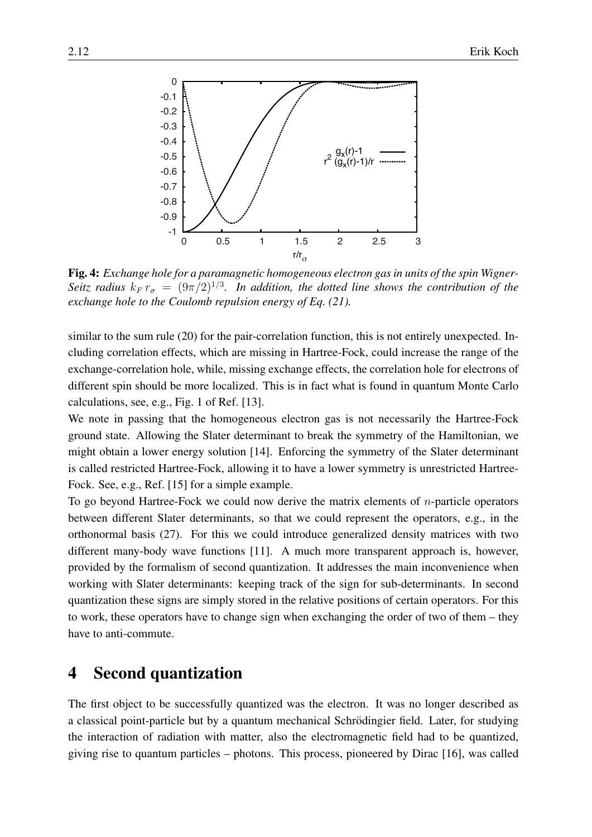

<span id="page-11-1"></span>Fig. 4: *Exchange hole for a paramagnetic homogeneous electron gas in units of the spin Wigner-*Seitz radius  $k_F r_{\sigma} = (9\pi/2)^{1/3}$ . In addition, the dotted line shows the contribution of the *exchange hole to the Coulomb repulsion energy of Eq. [\(21\)](#page-7-2).*

similar to the sum rule [\(20\)](#page-7-3) for the pair-correlation function, this is not entirely unexpected. Including correlation effects, which are missing in Hartree-Fock, could increase the range of the exchange-correlation hole, while, missing exchange effects, the correlation hole for electrons of different spin should be more localized. This is in fact what is found in quantum Monte Carlo calculations, see, e.g., Fig. 1 of Ref. [\[13\]](#page-24-12).

We note in passing that the homogeneous electron gas is not necessarily the Hartree-Fock ground state. Allowing the Slater determinant to break the symmetry of the Hamiltonian, we might obtain a lower energy solution [\[14\]](#page-24-13). Enforcing the symmetry of the Slater determinant is called restricted Hartree-Fock, allowing it to have a lower symmetry is unrestricted Hartree-Fock. See, e.g., Ref. [\[15\]](#page-24-14) for a simple example.

To go beyond Hartree-Fock we could now derive the matrix elements of  $n$ -particle operators between different Slater determinants, so that we could represent the operators, e.g., in the orthonormal basis [\(27\)](#page-8-1). For this we could introduce generalized density matrices with two different many-body wave functions [\[11\]](#page-24-10). A much more transparent approach is, however, provided by the formalism of second quantization. It addresses the main inconvenience when working with Slater determinants: keeping track of the sign for sub-determinants. In second quantization these signs are simply stored in the relative positions of certain operators. For this to work, these operators have to change sign when exchanging the order of two of them – they have to anti-commute.

### <span id="page-11-0"></span>4 Second quantization

The first object to be successfully quantized was the electron. It was no longer described as a classical point-particle but by a quantum mechanical Schrödingier field. Later, for studying the interaction of radiation with matter, also the electromagnetic field had to be quantized, giving rise to quantum particles – photons. This process, pioneered by Dirac [\[16\]](#page-24-15), was called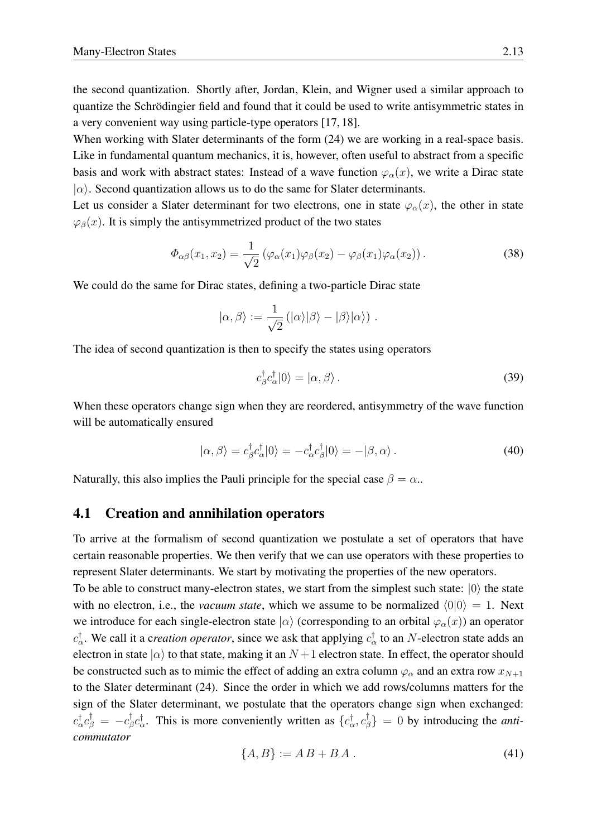the second quantization. Shortly after, Jordan, Klein, and Wigner used a similar approach to quantize the Schrödingier field and found that it could be used to write antisymmetric states in a very convenient way using particle-type operators [\[17,](#page-24-16) [18\]](#page-25-0).

When working with Slater determinants of the form  $(24)$  we are working in a real-space basis. Like in fundamental quantum mechanics, it is, however, often useful to abstract from a specific basis and work with abstract states: Instead of a wave function  $\varphi_{\alpha}(x)$ , we write a Dirac state  $|\alpha\rangle$ . Second quantization allows us to do the same for Slater determinants.

Let us consider a Slater determinant for two electrons, one in state  $\varphi_{\alpha}(x)$ , the other in state  $\varphi_{\beta}(x)$ . It is simply the antisymmetrized product of the two states

$$
\Phi_{\alpha\beta}(x_1, x_2) = \frac{1}{\sqrt{2}} \left( \varphi_{\alpha}(x_1) \varphi_{\beta}(x_2) - \varphi_{\beta}(x_1) \varphi_{\alpha}(x_2) \right).
$$
\n(38)

We could do the same for Dirac states, defining a two-particle Dirac state

$$
|\alpha,\beta\rangle:=\frac{1}{\sqrt{2}}\left(|\alpha\rangle|\beta\rangle-|\beta\rangle|\alpha\rangle\right).
$$

The idea of second quantization is then to specify the states using operators

$$
c_{\beta}^{\dagger} c_{\alpha}^{\dagger} |0\rangle = |\alpha, \beta\rangle. \tag{39}
$$

When these operators change sign when they are reordered, antisymmetry of the wave function will be automatically ensured

$$
|\alpha,\beta\rangle = c_{\beta}^{\dagger} c_{\alpha}^{\dagger} |0\rangle = -c_{\alpha}^{\dagger} c_{\beta}^{\dagger} |0\rangle = -|\beta,\alpha\rangle. \tag{40}
$$

Naturally, this also implies the Pauli principle for the special case  $\beta = \alpha$ .

#### <span id="page-12-0"></span>4.1 Creation and annihilation operators

To arrive at the formalism of second quantization we postulate a set of operators that have certain reasonable properties. We then verify that we can use operators with these properties to represent Slater determinants. We start by motivating the properties of the new operators.

To be able to construct many-electron states, we start from the simplest such state:  $|0\rangle$  the state with no electron, i.e., the *vacuum state*, which we assume to be normalized  $\langle 0|0 \rangle = 1$ . Next we introduce for each single-electron state  $|\alpha\rangle$  (corresponding to an orbital  $\varphi_\alpha(x)$ ) an operator  $c_{\alpha}^{\dagger}$ . We call it a c*reation operator*, since we ask that applying  $c_{\alpha}^{\dagger}$  to an *N*-electron state adds an electron in state  $|\alpha\rangle$  to that state, making it an  $N+1$  electron state. In effect, the operator should be constructed such as to mimic the effect of adding an extra column  $\varphi_{\alpha}$  and an extra row  $x_{N+1}$ to the Slater determinant [\(24\)](#page-8-2). Since the order in which we add rows/columns matters for the sign of the Slater determinant, we postulate that the operators change sign when exchanged:  $c^\dagger_\alpha c^{\dagger}_\beta\,=\,-c^\dagger_\beta$  ${}^{\dagger}_{\beta}c_{\alpha}^{\dagger}$ . This is more conveniently written as  $\{c_{\alpha}^{\dagger}, c_{\beta}^{\dagger}\}$  $\{ \xi_{\beta} \} = 0$  by introducing the *anticommutator*

$$
\{A, B\} := A B + B A \tag{41}
$$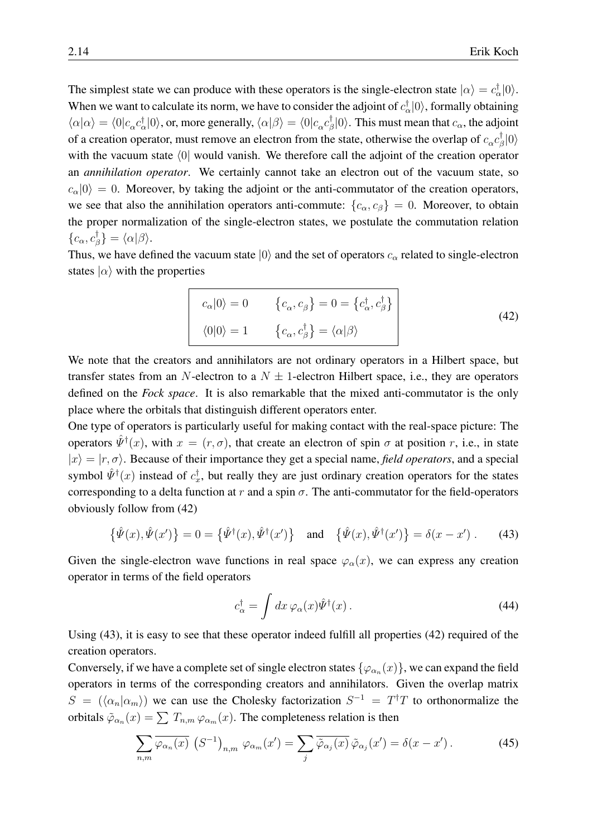The simplest state we can produce with these operators is the single-electron state  $|\alpha\rangle = c^{\dagger}_{\alpha}|0\rangle$ . When we want to calculate its norm, we have to consider the adjoint of  $c^{\dagger}_{\alpha}|0\rangle$ , formally obtaining  $\langle \alpha | \alpha \rangle = \langle 0 | c_{\alpha} c_{\alpha}^{\dagger} | 0 \rangle$ , or, more generally,  $\langle \alpha | \beta \rangle = \langle 0 | c_{\alpha} c_{\beta}^{\dagger}$  $\mathcal{F}_{\beta}|0\rangle$ . This must mean that  $c_{\alpha}$ , the adjoint of a creation operator, must remove an electron from the state, otherwise the overlap of  $c_{\alpha}c_{\beta}^{\dagger}$  $_{\beta}^{\intercal}|0\rangle$ with the vacuum state  $\langle 0|$  would vanish. We therefore call the adjoint of the creation operator an *annihilation operator*. We certainly cannot take an electron out of the vacuum state, so  $c_{\alpha}|0\rangle = 0$ . Moreover, by taking the adjoint or the anti-commutator of the creation operators, we see that also the annihilation operators anti-commute:  ${c_{\alpha}, c_{\beta}} = 0$ . Moreover, to obtain the proper normalization of the single-electron states, we postulate the commutation relation  $\{c_\alpha, c_\beta^\dagger$  $\begin{aligned} \Gamma_{\beta}^{\text{\tiny T}} \end{aligned} \} = \langle \alpha | \beta \rangle.$ 

Thus, we have defined the vacuum state  $|0\rangle$  and the set of operators  $c_{\alpha}$  related to single-electron states  $|\alpha\rangle$  with the properties

<span id="page-13-0"></span>
$$
c_{\alpha}|0\rangle = 0 \qquad \left\{c_{\alpha}, c_{\beta}\right\} = 0 = \left\{c_{\alpha}^{\dagger}, c_{\beta}^{\dagger}\right\}
$$
  

$$
\left\langle 0|0\right\rangle = 1 \qquad \left\{c_{\alpha}, c_{\beta}^{\dagger}\right\} = \left\langle \alpha|\beta\right\rangle
$$
 (42)

We note that the creators and annihilators are not ordinary operators in a Hilbert space, but transfer states from an N-electron to a  $N \pm 1$ -electron Hilbert space, i.e., they are operators defined on the *Fock space*. It is also remarkable that the mixed anti-commutator is the only place where the orbitals that distinguish different operators enter.

One type of operators is particularly useful for making contact with the real-space picture: The operators  $\hat{\psi}^{\dagger}(x)$ , with  $x = (r, \sigma)$ , that create an electron of spin  $\sigma$  at position r, i.e., in state  $|x\rangle = |r, \sigma\rangle$ . Because of their importance they get a special name, *field operators*, and a special symbol  $\hat{\Psi}^{\dagger}(x)$  instead of  $c_{x}^{\dagger}$ , but really they are just ordinary creation operators for the states corresponding to a delta function at r and a spin  $\sigma$ . The anti-commutator for the field-operators obviously follow from [\(42\)](#page-13-0)

<span id="page-13-1"></span>
$$
\{\hat{\Psi}(x),\hat{\Psi}(x')\}=0=\{\hat{\Psi}^{\dagger}(x),\hat{\Psi}^{\dagger}(x')\}\quad\text{and}\quad\{\hat{\Psi}(x),\hat{\Psi}^{\dagger}(x')\}=\delta(x-x')\;.\tag{43}
$$

Given the single-electron wave functions in real space  $\varphi_{\alpha}(x)$ , we can express any creation operator in terms of the field operators

$$
c_{\alpha}^{\dagger} = \int dx \,\varphi_{\alpha}(x)\hat{\Psi}^{\dagger}(x) \,. \tag{44}
$$

Using [\(43\)](#page-13-1), it is easy to see that these operator indeed fulfill all properties [\(42\)](#page-13-0) required of the creation operators.

Conversely, if we have a complete set of single electron states  $\{\varphi_{\alpha_n}(x)\}$ , we can expand the field operators in terms of the corresponding creators and annihilators. Given the overlap matrix  $S = (\langle \alpha_n | \alpha_m \rangle)$  we can use the Cholesky factorization  $S^{-1} = T^{\dagger}T$  to orthonormalize the orbitals  $\tilde{\varphi}_{\alpha_n}(x) = \sum T_{n,m} \varphi_{\alpha_m}(x)$ . The completeness relation is then

$$
\sum_{n,m} \overline{\varphi_{\alpha_n}(x)} \left( S^{-1} \right)_{n,m} \varphi_{\alpha_m}(x') = \sum_j \overline{\tilde{\varphi}_{\alpha_j}(x)} \tilde{\varphi}_{\alpha_j}(x') = \delta(x - x') \,. \tag{45}
$$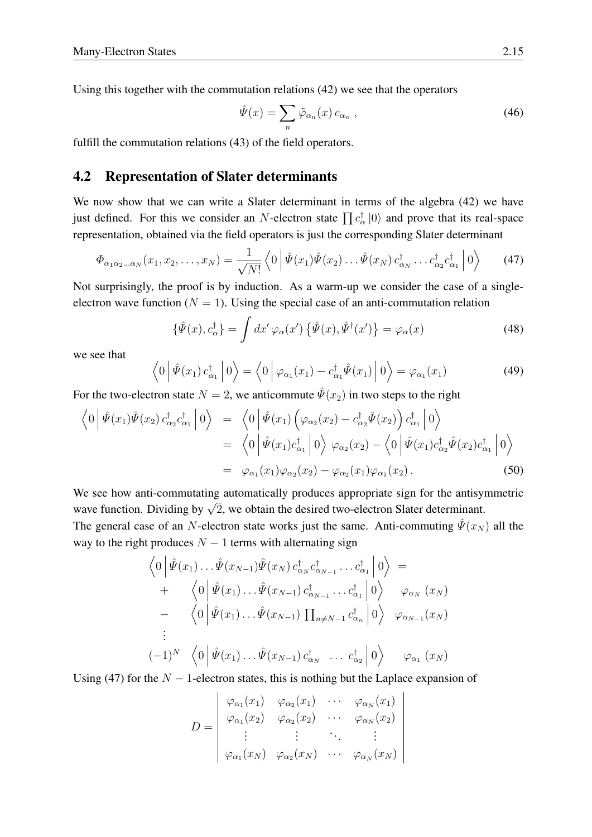Using this together with the commutation relations [\(42\)](#page-13-0) we see that the operators

$$
\hat{\Psi}(x) = \sum_{n} \tilde{\varphi}_{\alpha_n}(x) c_{\alpha_n} , \qquad (46)
$$

fulfill the commutation relations [\(43\)](#page-13-1) of the field operators.

#### <span id="page-14-0"></span>4.2 Representation of Slater determinants

We now show that we can write a Slater determinant in terms of the algebra [\(42\)](#page-13-0) we have just defined. For this we consider an *N*-electron state  $\prod c_{\alpha}^{\dagger} |0\rangle$  and prove that its real-space representation, obtained via the field operators is just the corresponding Slater determinant

<span id="page-14-1"></span>
$$
\Phi_{\alpha_1\alpha_2...\alpha_N}(x_1, x_2,..., x_N) = \frac{1}{\sqrt{N!}} \left\langle 0 \left| \hat{\Psi}(x_1) \hat{\Psi}(x_2) \dots \hat{\Psi}(x_N) c_{\alpha_N}^\dagger \dots c_{\alpha_2}^\dagger c_{\alpha_1}^\dagger \right| 0 \right\rangle \tag{47}
$$

Not surprisingly, the proof is by induction. As a warm-up we consider the case of a singleelectron wave function ( $N = 1$ ). Using the special case of an anti-commutation relation

$$
\{\hat{\Psi}(x), c_{\alpha}^{\dagger}\} = \int dx' \,\varphi_{\alpha}(x') \left\{\hat{\Psi}(x), \hat{\Psi}^{\dagger}(x')\right\} = \varphi_{\alpha}(x) \tag{48}
$$

we see that

$$
\left\langle 0 \left| \hat{\Psi}(x_1) c_{\alpha_1}^{\dagger} \right| 0 \right\rangle = \left\langle 0 \left| \varphi_{\alpha_1}(x_1) - c_{\alpha_1}^{\dagger} \hat{\Psi}(x_1) \right| 0 \right\rangle = \varphi_{\alpha_1}(x_1)
$$
\n(49)

For the two-electron state  $N = 2$ , we anticommute  $\hat{\Psi}(x_2)$  in two steps to the right

$$
\begin{split}\n\left\langle 0 \left| \hat{\Psi}(x_1) \hat{\Psi}(x_2) c_{\alpha_2}^{\dagger} c_{\alpha_1}^{\dagger} \right| 0 \right\rangle &= \left\langle 0 \left| \hat{\Psi}(x_1) \left( \varphi_{\alpha_2}(x_2) - c_{\alpha_2}^{\dagger} \hat{\Psi}(x_2) \right) c_{\alpha_1}^{\dagger} \right| 0 \right\rangle \\
&= \left\langle 0 \left| \hat{\Psi}(x_1) c_{\alpha_1}^{\dagger} \right| 0 \right\rangle \varphi_{\alpha_2}(x_2) - \left\langle 0 \left| \hat{\Psi}(x_1) c_{\alpha_2}^{\dagger} \hat{\Psi}(x_2) c_{\alpha_1}^{\dagger} \right| 0 \right\rangle \\
&= \left. \varphi_{\alpha_1}(x_1) \varphi_{\alpha_2}(x_2) - \varphi_{\alpha_2}(x_1) \varphi_{\alpha_1}(x_2).\n\end{split} \tag{50}
$$

We see how anti-commutating automatically produces appropriate sign for the antisymmetric we see now and commutating automatically produces appropriate sign for the antisym<br>wave function. Dividing by  $\sqrt{2}$ , we obtain the desired two-electron Slater determinant.

The general case of an N-electron state works just the same. Anti-commuting  $\hat{\Psi}(x_N)$  all the way to the right produces  $N - 1$  terms with alternating sign

$$
\left\langle 0 \left| \hat{\Psi}(x_1) \dots \hat{\Psi}(x_{N-1}) \hat{\Psi}(x_N) c^{\dagger}_{\alpha_N} c^{\dagger}_{\alpha_{N-1}} \dots c^{\dagger}_{\alpha_1} \right| 0 \right\rangle =
$$
  
+ 
$$
\left\langle 0 \left| \hat{\Psi}(x_1) \dots \hat{\Psi}(x_{N-1}) c^{\dagger}_{\alpha_{N-1}} \dots c^{\dagger}_{\alpha_1} \right| 0 \right\rangle \quad \varphi_{\alpha_N} (x_N)
$$
  
- 
$$
\left\langle 0 \left| \hat{\Psi}(x_1) \dots \hat{\Psi}(x_{N-1}) \prod_{n \neq N-1} c^{\dagger}_{\alpha_n} \right| 0 \right\rangle \quad \varphi_{\alpha_{N-1}} (x_N)
$$
  
:  
-
$$
(-1)^N \left\langle 0 \left| \hat{\Psi}(x_1) \dots \hat{\Psi}(x_{N-1}) c^{\dagger}_{\alpha_N} \dots c^{\dagger}_{\alpha_2} \right| 0 \right\rangle \quad \varphi_{\alpha_1} (x_N)
$$

Using [\(47\)](#page-14-1) for the  $N-1$ -electron states, this is nothing but the Laplace expansion of

$$
D = \begin{pmatrix} \varphi_{\alpha_1}(x_1) & \varphi_{\alpha_2}(x_1) & \cdots & \varphi_{\alpha_N}(x_1) \\ \varphi_{\alpha_1}(x_2) & \varphi_{\alpha_2}(x_2) & \cdots & \varphi_{\alpha_N}(x_2) \\ \vdots & \vdots & \ddots & \vdots \\ \varphi_{\alpha_1}(x_N) & \varphi_{\alpha_2}(x_N) & \cdots & \varphi_{\alpha_N}(x_N) \end{pmatrix}
$$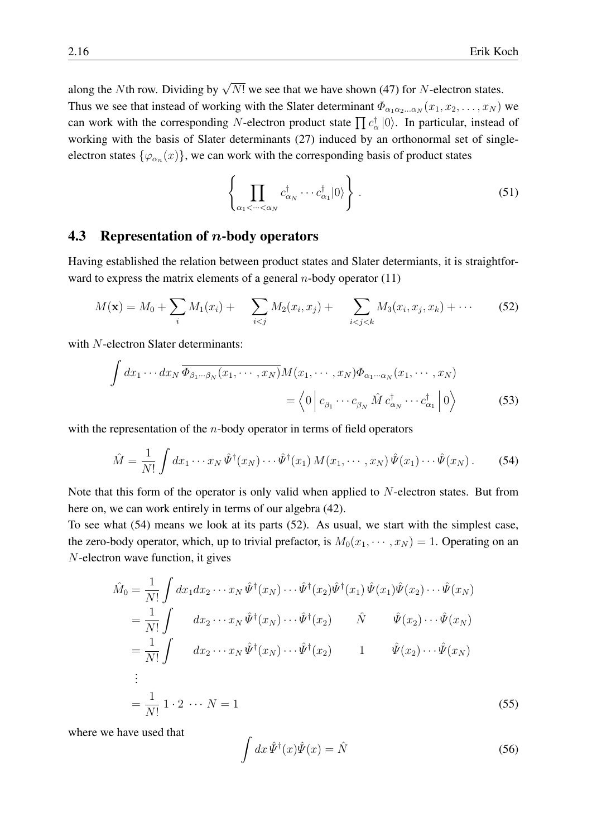along the Nth row. Dividing by  $\sqrt{N!}$  we see that we have shown [\(47\)](#page-14-1) for N-electron states. Thus we see that instead of working with the Slater determinant  $\Phi_{\alpha_1\alpha_2...\alpha_N}(x_1, x_2,...,x_N)$  we can work with the corresponding N-electron product state  $\prod c_{\alpha}^{\dagger} |0\rangle$ . In particular, instead of working with the basis of Slater determinants [\(27\)](#page-8-1) induced by an orthonormal set of singleelectron states  $\{\varphi_{\alpha_n}(x)\}$ , we can work with the corresponding basis of product states

<span id="page-15-3"></span>
$$
\left\{\prod_{\alpha_1 < \dots < \alpha_N} c^{\dagger}_{\alpha_N} \cdots c^{\dagger}_{\alpha_1} |0\rangle \right\} . \tag{51}
$$

#### <span id="page-15-0"></span>4.3 Representation of  $n$ -body operators

Having established the relation between product states and Slater determiants, it is straightforward to express the matrix elements of a general *n*-body operator  $(11)$ 

<span id="page-15-2"></span>
$$
M(\mathbf{x}) = M_0 + \sum_i M_1(x_i) + \sum_{i < j} M_2(x_i, x_j) + \sum_{i < j < k} M_3(x_i, x_j, x_k) + \cdots \tag{52}
$$

with N-electron Slater determinants:

$$
\int dx_1 \cdots dx_N \overline{\Phi_{\beta_1 \cdots \beta_N}(x_1, \cdots, x_N)} M(x_1, \cdots, x_N) \Phi_{\alpha_1 \cdots \alpha_N}(x_1, \cdots, x_N)
$$

$$
= \left\langle 0 \left| c_{\beta_1} \cdots c_{\beta_N} \hat{M} c_{\alpha_N}^{\dagger} \cdots c_{\alpha_1}^{\dagger} \right| 0 \right\rangle \tag{53}
$$

with the representation of the  $n$ -body operator in terms of field operators

<span id="page-15-1"></span>
$$
\hat{M} = \frac{1}{N!} \int dx_1 \cdots x_N \hat{\Psi}^\dagger(x_N) \cdots \hat{\Psi}^\dagger(x_1) M(x_1, \cdots, x_N) \hat{\Psi}(x_1) \cdots \hat{\Psi}(x_N).
$$
 (54)

Note that this form of the operator is only valid when applied to N-electron states. But from here on, we can work entirely in terms of our algebra [\(42\)](#page-13-0).

To see what [\(54\)](#page-15-1) means we look at its parts [\(52\)](#page-15-2). As usual, we start with the simplest case, the zero-body operator, which, up to trivial prefactor, is  $M_0(x_1, \dots, x_N) = 1$ . Operating on an N-electron wave function, it gives

$$
\hat{M}_0 = \frac{1}{N!} \int dx_1 dx_2 \cdots x_N \hat{\Psi}^\dagger(x_N) \cdots \hat{\Psi}^\dagger(x_2) \hat{\Psi}^\dagger(x_1) \hat{\Psi}(x_1) \hat{\Psi}(x_2) \cdots \hat{\Psi}(x_N)
$$
\n
$$
= \frac{1}{N!} \int dx_2 \cdots x_N \hat{\Psi}^\dagger(x_N) \cdots \hat{\Psi}^\dagger(x_2) \qquad \hat{N} \qquad \hat{\Psi}(x_2) \cdots \hat{\Psi}(x_N)
$$
\n
$$
= \frac{1}{N!} \int dx_2 \cdots x_N \hat{\Psi}^\dagger(x_N) \cdots \hat{\Psi}^\dagger(x_2) \qquad 1 \qquad \hat{\Psi}(x_2) \cdots \hat{\Psi}(x_N)
$$
\n
$$
\vdots
$$
\n
$$
= \frac{1}{N!} 1 \cdot 2 \cdots N = 1
$$
\n(55)

where we have used that

<span id="page-15-4"></span>
$$
\int dx \,\hat{\Psi}^{\dagger}(x)\hat{\Psi}(x) = \hat{N} \tag{56}
$$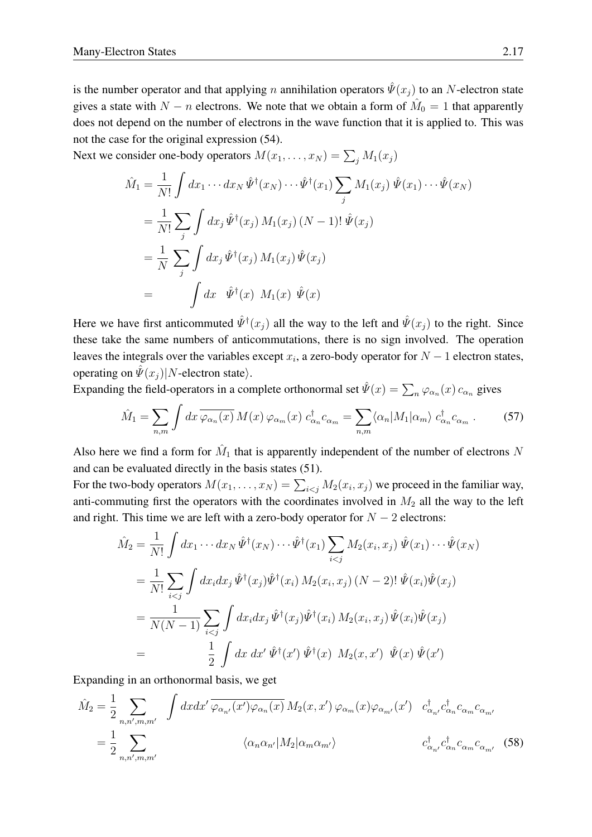is the number operator and that applying n annihilation operators  $\hat{\Psi}(x_i)$  to an N-electron state gives a state with  $N - n$  electrons. We note that we obtain a form of  $\hat{M}_0 = 1$  that apparently does not depend on the number of electrons in the wave function that it is applied to. This was not the case for the original expression [\(54\)](#page-15-1).

Next we consider one-body operators  $M(x_1, \ldots, x_N) = \sum_j M_1(x_j)$ 

$$
\hat{M}_1 = \frac{1}{N!} \int dx_1 \cdots dx_N \hat{\Psi}^\dagger(x_N) \cdots \hat{\Psi}^\dagger(x_1) \sum_j M_1(x_j) \hat{\Psi}(x_1) \cdots \hat{\Psi}(x_N)
$$
\n
$$
= \frac{1}{N!} \sum_j \int dx_j \hat{\Psi}^\dagger(x_j) M_1(x_j) (N-1)! \hat{\Psi}(x_j)
$$
\n
$$
= \frac{1}{N} \sum_j \int dx_j \hat{\Psi}^\dagger(x_j) M_1(x_j) \hat{\Psi}(x_j)
$$
\n
$$
= \int dx \hat{\Psi}^\dagger(x) M_1(x) \hat{\Psi}(x)
$$

Here we have first anticommuted  $\hat{\psi}^{\dagger}(x_j)$  all the way to the left and  $\hat{\psi}(x_j)$  to the right. Since these take the same numbers of anticommutations, there is no sign involved. The operation leaves the integrals over the variables except  $x_i$ , a zero-body operator for  $N-1$  electron states, operating on  $\hat{\Psi}(x_i) \mid N$ -electron state).

Expanding the field-operators in a complete orthonormal set  $\hat{\Psi}(x) = \sum_n \varphi_{\alpha_n}(x) c_{\alpha_n}$  gives

<span id="page-16-0"></span>
$$
\hat{M}_1 = \sum_{n,m} \int dx \, \overline{\varphi_{\alpha_n}(x)} \, M(x) \, \varphi_{\alpha_m}(x) \, c_{\alpha_n}^\dagger c_{\alpha_m} = \sum_{n,m} \langle \alpha_n | M_1 | \alpha_m \rangle \, c_{\alpha_n}^\dagger c_{\alpha_m} \,. \tag{57}
$$

Also here we find a form for  $\hat{M}_1$  that is apparently independent of the number of electrons N and can be evaluated directly in the basis states [\(51\)](#page-15-3).

For the two-body operators  $M(x_1, \ldots, x_N) = \sum_{i \le j} M_2(x_i, x_j)$  we proceed in the familiar way, anti-commuting first the operators with the coordinates involved in  $M_2$  all the way to the left and right. This time we are left with a zero-body operator for  $N - 2$  electrons:

$$
\hat{M}_2 = \frac{1}{N!} \int dx_1 \cdots dx_N \hat{\Psi}^{\dagger}(x_N) \cdots \hat{\Psi}^{\dagger}(x_1) \sum_{i < j} M_2(x_i, x_j) \hat{\Psi}(x_1) \cdots \hat{\Psi}(x_N)
$$
\n
$$
= \frac{1}{N!} \sum_{i < j} \int dx_i dx_j \hat{\Psi}^{\dagger}(x_j) \hat{\Psi}^{\dagger}(x_i) M_2(x_i, x_j) (N-2)! \hat{\Psi}(x_i) \hat{\Psi}(x_j)
$$
\n
$$
= \frac{1}{N(N-1)} \sum_{i < j} \int dx_i dx_j \hat{\Psi}^{\dagger}(x_j) \hat{\Psi}^{\dagger}(x_i) M_2(x_i, x_j) \hat{\Psi}(x_i) \hat{\Psi}(x_j)
$$
\n
$$
= \frac{1}{2} \int dx \, dx' \hat{\Psi}^{\dagger}(x') \hat{\Psi}^{\dagger}(x) M_2(x, x') \hat{\Psi}(x) \hat{\Psi}(x')
$$

Expanding in an orthonormal basis, we get

<span id="page-16-1"></span>
$$
\hat{M}_2 = \frac{1}{2} \sum_{n,n',m,m'} \int dx dx' \overline{\varphi_{\alpha_{n'}}(x') \varphi_{\alpha_n}(x)} M_2(x, x') \varphi_{\alpha_m}(x) \varphi_{\alpha_{m'}}(x') \quad c^{\dagger}_{\alpha_{n'}} c^{\dagger}_{\alpha_n} c_{\alpha_m} c_{\alpha_{m'}}
$$
\n
$$
= \frac{1}{2} \sum_{n,n',m,m'} \langle \alpha_n \alpha_{n'} | M_2 | \alpha_m \alpha_{m'} \rangle \qquad c^{\dagger}_{\alpha_{n'}} c^{\dagger}_{\alpha_n} c_{\alpha_m} c_{\alpha_{m'}} \quad (58)
$$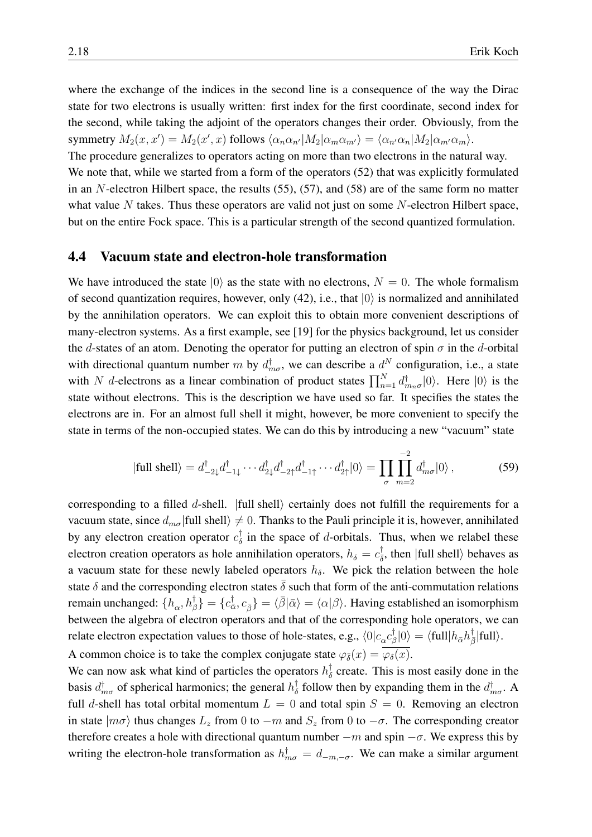where the exchange of the indices in the second line is a consequence of the way the Dirac state for two electrons is usually written: first index for the first coordinate, second index for the second, while taking the adjoint of the operators changes their order. Obviously, from the symmetry  $M_2(x, x') = M_2(x', x)$  follows  $\langle \alpha_n \alpha_{n'} | M_2 | \alpha_m \alpha_{m'} \rangle = \langle \alpha_{n'} \alpha_n | M_2 | \alpha_{m'} \alpha_m \rangle$ .

The procedure generalizes to operators acting on more than two electrons in the natural way. We note that, while we started from a form of the operators [\(52\)](#page-15-2) that was explicitly formulated in an N-electron Hilbert space, the results [\(55\)](#page-15-4), [\(57\)](#page-16-0), and [\(58\)](#page-16-1) are of the same form no matter what value  $N$  takes. Thus these operators are valid not just on some  $N$ -electron Hilbert space, but on the entire Fock space. This is a particular strength of the second quantized formulation.

#### <span id="page-17-0"></span>4.4 Vacuum state and electron-hole transformation

We have introduced the state  $|0\rangle$  as the state with no electrons,  $N = 0$ . The whole formalism of second quantization requires, however, only  $(42)$ , i.e., that  $|0\rangle$  is normalized and annihilated by the annihilation operators. We can exploit this to obtain more convenient descriptions of many-electron systems. As a first example, see [\[19\]](#page-25-1) for the physics background, let us consider the d-states of an atom. Denoting the operator for putting an electron of spin  $\sigma$  in the d-orbital with directional quantum number m by  $d_{m\sigma}^{\dagger}$ , we can describe a  $d^N$  configuration, i.e., a state with N d-electrons as a linear combination of product states  $\prod_{n=1}^{N} d_{m_n\sigma}^{\dagger} |0\rangle$ . Here  $|0\rangle$  is the state without electrons. This is the description we have used so far. It specifies the states the electrons are in. For an almost full shell it might, however, be more convenient to specify the state in terms of the non-occupied states. We can do this by introducing a new "vacuum" state

$$
|\text{full shell}\rangle = d_{-2\downarrow}^{\dagger} d_{-1\downarrow}^{\dagger} \cdots d_{2\downarrow}^{\dagger} d_{-2\uparrow}^{\dagger} d_{-1\uparrow}^{\dagger} \cdots d_{2\uparrow}^{\dagger} |0\rangle = \prod_{\sigma} \prod_{m=2}^{-2} d_{m\sigma}^{\dagger} |0\rangle \,, \tag{59}
$$

corresponding to a filled d-shell.  $\vert$  full shell) certainly does not fulfill the requirements for a vacuum state, since  $d_{m\sigma}$  full shell $\rangle \neq 0$ . Thanks to the Pauli principle it is, however, annihilated by any electron creation operator  $c_{\delta}^{\dagger}$  $\delta$  in the space of *d*-orbitals. Thus, when we relabel these electron creation operators as hole annihilation operators,  $h_{\delta} = c_{\bar{\delta}}^{\dagger}$  $\frac{1}{\delta}$ , then |full shell $\rangle$  behaves as a vacuum state for these newly labeled operators  $h_{\delta}$ . We pick the relation between the hole state  $\delta$  and the corresponding electron states  $\delta$  such that form of the anti-commutation relations remain unchanged:  $\{h_\alpha,h_\beta^\dagger\}=\{c_{\bar{\alpha}}^\dagger$  $\{\bar{\alpha}, c_{\bar{\beta}}\} = \langle \bar{\beta} | \bar{\alpha} \rangle = \langle \alpha | \beta \rangle.$  Having established an isomorphism between the algebra of electron operators and that of the corresponding hole operators, we can relate electron expectation values to those of hole-states, e.g.,  $\langle 0|c_\alpha c_\beta^\dagger$  $\langle \frac{\dagger}{\beta}|0\rangle = \langle \text{full} | h_{\bar{\alpha}} h^\dagger_{\bar{\beta}}$  $\frac{1}{\bar{\beta}}$ |full $\rangle$ . A common choice is to take the complex conjugate state  $\varphi_{\bar{\delta}}(x) = \overline{\varphi_{\delta}(x)}$ .

We can now ask what kind of particles the operators  $h_{\delta}^{\dagger}$  $\delta$  create. This is most easily done in the basis  $d_{m\sigma}^{\dagger}$  of spherical harmonics; the general  $h_{\delta}^{\dagger}$  $\frac{1}{\delta}$  follow then by expanding them in the  $d_{m\sigma}^{\dagger}$ . A full d-shell has total orbital momentum  $L = 0$  and total spin  $S = 0$ . Removing an electron in state  $|m\sigma\rangle$  thus changes  $L_z$  from 0 to  $-m$  and  $S_z$  from 0 to  $-\sigma$ . The corresponding creator therefore creates a hole with directional quantum number  $-m$  and spin  $-\sigma$ . We express this by writing the electron-hole transformation as  $h^{\dagger}_{m\sigma} = d_{-m,-\sigma}$ . We can make a similar argument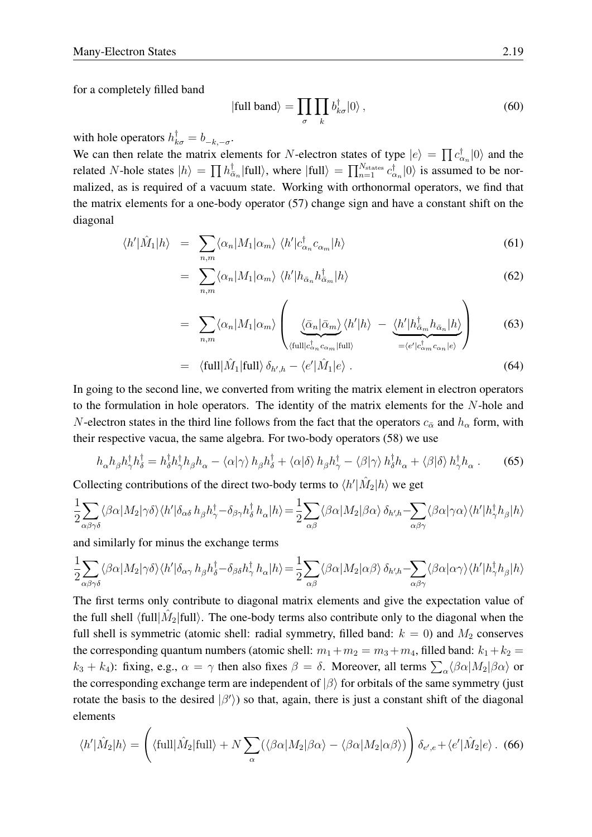for a completely filled band

$$
|\text{full band}\rangle = \prod_{\sigma} \prod_{k} b_{k\sigma}^{\dagger} |0\rangle , \qquad (60)
$$

with hole operators  $h_{k\sigma}^{\dagger} = b_{-k,-\sigma}$ .

We can then relate the matrix elements for N-electron states of type  $|e\rangle = \prod c_{\alpha_n}^{\dagger} |0\rangle$  and the related N-hole states  $|h\rangle = \prod h_{\bar{c}}^{\dagger}$  $\frac{1}{\bar{\alpha}_n}$ |full $\rangle$ , where  $|full\rangle = \prod_{n=1}^{N_{\text{states}}} c_{\alpha_n}^{\dagger} |0\rangle$  is assumed to be normalized, as is required of a vacuum state. Working with orthonormal operators, we find that the matrix elements for a one-body operator [\(57\)](#page-16-0) change sign and have a constant shift on the diagonal

$$
\langle h' | \hat{M}_1 | h \rangle = \sum_{n,m} \langle \alpha_n | M_1 | \alpha_m \rangle \langle h' | c_{\alpha_n}^{\dagger} c_{\alpha_m} | h \rangle \tag{61}
$$

$$
= \sum_{n,m} \langle \alpha_n | M_1 | \alpha_m \rangle \langle h' | h_{\bar{\alpha}_n} h_{\bar{\alpha}_m}^\dagger | h \rangle \tag{62}
$$

$$
= \sum_{n,m} \langle \alpha_n | M_1 | \alpha_m \rangle \left( \underbrace{\langle \bar{\alpha}_n | \bar{\alpha}_m \rangle}_{\langle \text{full} | c_{\alpha_n}^\dagger c_{\alpha_m} | \text{full} \rangle} \langle h' | h \rangle - \underbrace{\langle h' | h_{\bar{\alpha}_m}^\dagger h_{\bar{\alpha}_n} | h \rangle}_{= \langle e' | c_{\alpha_m}^\dagger c_{\alpha_n} | e \rangle} \right) \tag{63}
$$

$$
= \langle \text{full} | \hat{M}_1 | \text{full} \rangle \, \delta_{h',h} - \langle e' | \hat{M}_1 | e \rangle \, . \tag{64}
$$

In going to the second line, we converted from writing the matrix element in electron operators to the formulation in hole operators. The identity of the matrix elements for the N-hole and N-electron states in the third line follows from the fact that the operators  $c_{\bar{\alpha}}$  and  $h_{\alpha}$  form, with their respective vacua, the same algebra. For two-body operators [\(58\)](#page-16-1) we use

$$
h_{\alpha}h_{\beta}h_{\gamma}^{\dagger}h_{\delta}^{\dagger} = h_{\delta}^{\dagger}h_{\gamma}^{\dagger}h_{\beta}h_{\alpha} - \langle\alpha|\gamma\rangle h_{\beta}h_{\delta}^{\dagger} + \langle\alpha|\delta\rangle h_{\beta}h_{\gamma}^{\dagger} - \langle\beta|\gamma\rangle h_{\delta}^{\dagger}h_{\alpha} + \langle\beta|\delta\rangle h_{\gamma}^{\dagger}h_{\alpha}.
$$
 (65)

Collecting contributions of the direct two-body terms to  $\langle h' | \hat{M}_2 | h \rangle$  we get

$$
\frac{1}{2} \sum_{\alpha\beta\gamma\delta} \langle \beta\alpha | M_2 | \gamma\delta \rangle \langle h' | \delta_{\alpha\delta} h_{\beta} h_{\gamma}^{\dagger} - \delta_{\beta\gamma} h_{\delta}^{\dagger} h_{\alpha} | h \rangle = \frac{1}{2} \sum_{\alpha\beta} \langle \beta\alpha | M_2 | \beta\alpha \rangle \delta_{h',h} - \sum_{\alpha\beta\gamma} \langle \beta\alpha | \gamma\alpha \rangle \langle h' | h_{\gamma}^{\dagger} h_{\beta} | h \rangle
$$

and similarly for minus the exchange terms

$$
\frac{1}{2}\sum_{\alpha\beta\gamma\delta}\langle\beta\alpha|M_{2}|\gamma\delta\rangle\langle h'|\delta_{\alpha\gamma}h_{\beta}h_{\delta}^{\dagger}-\delta_{\beta\delta}h_{\gamma}^{\dagger}h_{\alpha}|h\rangle=\frac{1}{2}\sum_{\alpha\beta}\langle\beta\alpha|M_{2}|\alpha\beta\rangle\,\delta_{h',h}-\sum_{\alpha\beta\gamma}\langle\beta\alpha|\alpha\gamma\rangle\langle h'|h_{\gamma}^{\dagger}h_{\beta}|h\rangle
$$

The first terms only contribute to diagonal matrix elements and give the expectation value of the full shell  $\langle \text{full} | \hat{M}_2 | \text{full} \rangle$ . The one-body terms also contribute only to the diagonal when the full shell is symmetric (atomic shell: radial symmetry, filled band:  $k = 0$ ) and  $M_2$  conserves the corresponding quantum numbers (atomic shell:  $m_1 + m_2 = m_3 + m_4$ , filled band:  $k_1 + k_2 =$  $k_3 + k_4$ ): fixing, e.g.,  $\alpha = \gamma$  then also fixes  $\beta = \delta$ . Moreover, all terms  $\sum_{\alpha} \langle \beta \alpha | M_2 | \beta \alpha \rangle$  or the corresponding exchange term are independent of  $|\beta\rangle$  for orbitals of the same symmetry (just rotate the basis to the desired  $|\beta'\rangle$ ) so that, again, there is just a constant shift of the diagonal elements

$$
\langle h' | \hat{M}_2 | h \rangle = \left( \langle \text{full} | \hat{M}_2 | \text{full} \rangle + N \sum_{\alpha} (\langle \beta \alpha | M_2 | \beta \alpha \rangle - \langle \beta \alpha | M_2 | \alpha \beta \rangle) \right) \delta_{e',e} + \langle e' | \hat{M}_2 | e \rangle. \tag{66}
$$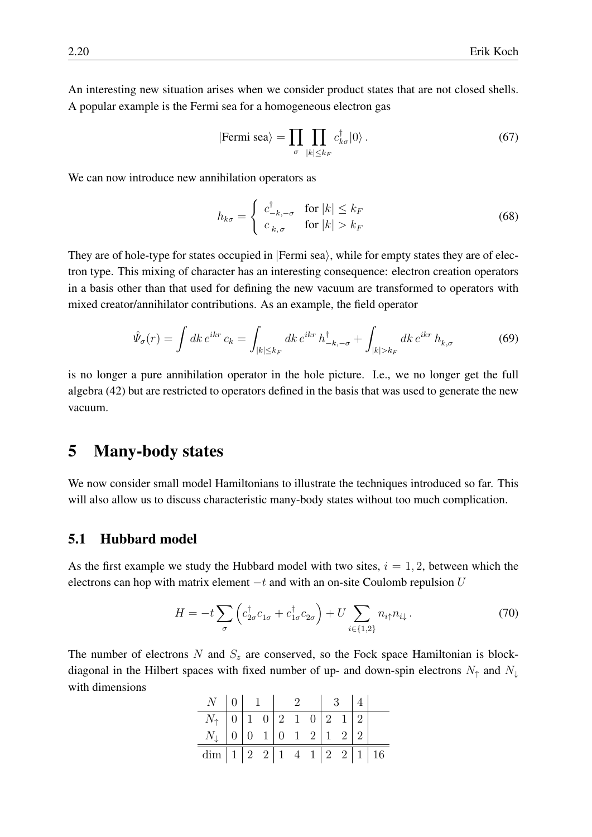An interesting new situation arises when we consider product states that are not closed shells. A popular example is the Fermi sea for a homogeneous electron gas

$$
|\text{Fermi sea}\rangle = \prod_{\sigma} \prod_{|k| \le k_F} c_{k\sigma}^{\dagger} |0\rangle. \tag{67}
$$

We can now introduce new annihilation operators as

$$
h_{k\sigma} = \begin{cases} c_{-k,-\sigma}^{\dagger} & \text{for } |k| \le k_F \\ c_{k,\sigma} & \text{for } |k| > k_F \end{cases}
$$
 (68)

They are of hole-type for states occupied in  $|Fermi sea\rangle$ , while for empty states they are of electron type. This mixing of character has an interesting consequence: electron creation operators in a basis other than that used for defining the new vacuum are transformed to operators with mixed creator/annihilator contributions. As an example, the field operator

$$
\hat{\Psi}_{\sigma}(r) = \int dk \, e^{ikr} \, c_k = \int_{|k| \leq k_F} dk \, e^{ikr} \, h_{-k,-\sigma}^{\dagger} + \int_{|k| > k_F} dk \, e^{ikr} \, h_{k,\sigma} \tag{69}
$$

is no longer a pure annihilation operator in the hole picture. I.e., we no longer get the full algebra [\(42\)](#page-13-0) but are restricted to operators defined in the basis that was used to generate the new vacuum.

### <span id="page-19-0"></span>5 Many-body states

We now consider small model Hamiltonians to illustrate the techniques introduced so far. This will also allow us to discuss characteristic many-body states without too much complication.

#### <span id="page-19-1"></span>5.1 Hubbard model

As the first example we study the Hubbard model with two sites,  $i = 1, 2$ , between which the electrons can hop with matrix element  $-t$  and with an on-site Coulomb repulsion  $U$ 

$$
H = -t\sum_{\sigma} \left( c_{2\sigma}^{\dagger} c_{1\sigma} + c_{1\sigma}^{\dagger} c_{2\sigma} \right) + U \sum_{i \in \{1,2\}} n_{i\uparrow} n_{i\downarrow} \,. \tag{70}
$$

The number of electrons N and  $S_z$  are conserved, so the Fock space Hamiltonian is blockdiagonal in the Hilbert spaces with fixed number of up- and down-spin electrons  $N_{\uparrow}$  and  $N_{\downarrow}$ with dimensions

|                                                    | $N \mid 0 \mid 1 \mid$ |  |  |  |  | $3-1$ |  |  |
|----------------------------------------------------|------------------------|--|--|--|--|-------|--|--|
| $N_{\uparrow}$   0   1   0   2   1   0   2   1   2 |                        |  |  |  |  |       |  |  |
| $N_{\downarrow}$ 0 0 1 0 1 2 1 2 2                 |                        |  |  |  |  |       |  |  |
| $\dim  1  2 2  1 4 1  2 2  1  16$                  |                        |  |  |  |  |       |  |  |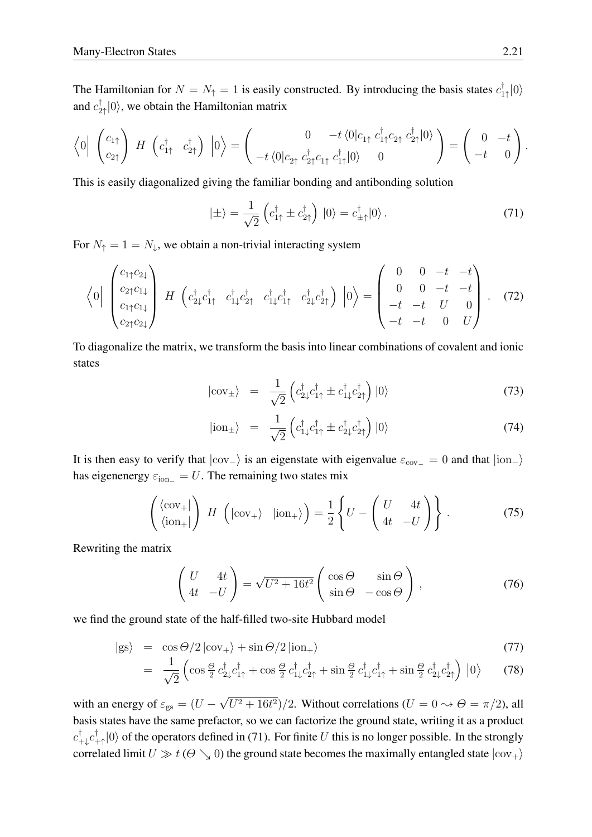The Hamiltonian for  $N = N_{\uparrow} = 1$  is easily constructed. By introducing the basis states  $c_1^{\dagger}$  $T_{1\uparrow}|0\rangle$ and  $c_2^{\dagger}$  $\mathbb{Z}_2^{\uparrow}|0\rangle$ , we obtain the Hamiltonian matrix

$$
\left\langle 0\Big|\begin{pmatrix} c_{1\uparrow}\\ c_{2\uparrow} \end{pmatrix} H \begin{pmatrix} c_{1\uparrow}^{\dagger} & c_{2\uparrow}^{\dagger} \end{pmatrix} \Big| 0 \right\rangle = \begin{pmatrix} 0 & -t \left\langle 0\Big| c_{1\uparrow} & c_{1\uparrow}^{\dagger} c_{2\uparrow} & c_{2\uparrow}^{\dagger} \Big| 0 \right\rangle \\ -t \left\langle 0\Big| c_{2\uparrow} & c_{2\uparrow}^{\dagger} c_{1\uparrow} & c_{1\uparrow}^{\dagger} \Big| 0 \right\rangle & 0 \end{pmatrix} = \begin{pmatrix} 0 & -t \\ -t & 0 \end{pmatrix}.
$$

This is easily diagonalized giving the familiar bonding and antibonding solution

<span id="page-20-0"></span>
$$
|\pm\rangle = \frac{1}{\sqrt{2}} \left( c_{1\uparrow}^{\dagger} \pm c_{2\uparrow}^{\dagger} \right) |0\rangle = c_{\pm\uparrow}^{\dagger} |0\rangle. \tag{71}
$$

For  $N_{\uparrow} = 1 = N_{\downarrow}$ , we obtain a non-trivial interacting system

$$
\left\langle 0 \left| \begin{array}{c} c_{1\uparrow}c_{2\downarrow} \\ c_{2\uparrow}c_{1\downarrow} \\ c_{1\uparrow}c_{1\downarrow} \end{array} \right| H \left( c_{2\downarrow}^{\dagger}c_{1\uparrow}^{\dagger} \ c_{1\downarrow}^{\dagger}c_{2\uparrow}^{\dagger} \ c_{1\downarrow}^{\dagger}c_{1\uparrow}^{\dagger} \ c_{2\downarrow}^{\dagger}c_{2\uparrow}^{\dagger} \right) \left| 0 \right\rangle = \begin{pmatrix} 0 & 0 & -t & -t \\ 0 & 0 & -t & -t \\ -t & -t & U & 0 \\ -t & -t & 0 & U \end{pmatrix} . \tag{72}
$$

To diagonalize the matrix, we transform the basis into linear combinations of covalent and ionic states

$$
|\text{cov}_{\pm}\rangle = \frac{1}{\sqrt{2}} \left( c_{2\downarrow}^{\dagger} c_{1\uparrow}^{\dagger} \pm c_{1\downarrow}^{\dagger} c_{2\uparrow}^{\dagger} \right) |0\rangle \tag{73}
$$

$$
|\text{ion}_{\pm}\rangle = \frac{1}{\sqrt{2}} \left( c_{1\downarrow}^{\dagger} c_{1\uparrow}^{\dagger} \pm c_{2\downarrow}^{\dagger} c_{2\uparrow}^{\dagger} \right) |0\rangle \tag{74}
$$

It is then easy to verify that  $|cov_+\rangle$  is an eigenstate with eigenvalue  $\varepsilon_{cov_-\} = 0$  and that  $|ion_+\rangle$ has eigenenergy  $\varepsilon_{\text{ion}-} = U$ . The remaining two states mix

$$
\begin{pmatrix} \langle \text{cov}_+ | \\ \langle \text{ion}_+ | \end{pmatrix} H \left( |\text{cov}_+ \rangle | \text{ion}_+ \rangle \right) = \frac{1}{2} \left\{ U - \begin{pmatrix} U & 4t \\ 4t & -U \end{pmatrix} \right\}.
$$
 (75)

Rewriting the matrix

$$
\begin{pmatrix} U & 4t \\ 4t & -U \end{pmatrix} = \sqrt{U^2 + 16t^2} \begin{pmatrix} \cos \Theta & \sin \Theta \\ \sin \Theta & -\cos \Theta \end{pmatrix},
$$
(76)

we find the ground state of the half-filled two-site Hubbard model

$$
|{\rm gs}\rangle = \cos \Theta/2 |{\rm cov}_+\rangle + \sin \Theta/2 |{\rm ion}_+\rangle \tag{77}
$$

$$
= \frac{1}{\sqrt{2}} \left( \cos \frac{\Theta}{2} c_{2\downarrow}^{\dagger} c_{1\uparrow}^{\dagger} + \cos \frac{\Theta}{2} c_{1\downarrow}^{\dagger} c_{2\uparrow}^{\dagger} + \sin \frac{\Theta}{2} c_{1\downarrow}^{\dagger} c_{1\uparrow}^{\dagger} + \sin \frac{\Theta}{2} c_{2\downarrow}^{\dagger} c_{2\uparrow}^{\dagger} \right) \left| 0 \right\rangle \tag{78}
$$

with an energy of  $\varepsilon_{\rm gs} = (U -$ √  $(U^2 + 16t^2)/2$ . Without correlations  $(U = 0 \rightarrow \Theta = \pi/2)$ , all basis states have the same prefactor, so we can factorize the ground state, writing it as a product  $c_{\dashv}^\dagger$  $_{+\downarrow}^{\dagger}c_{\dashv}^{\dagger}$  $\int_{+\uparrow}^{\uparrow} |0\rangle$  of the operators defined in [\(71\)](#page-20-0). For finite U this is no longer possible. In the strongly correlated limit  $U \gg t (\Theta \searrow 0)$  the ground state becomes the maximally entangled state  $|cov_{+}\rangle$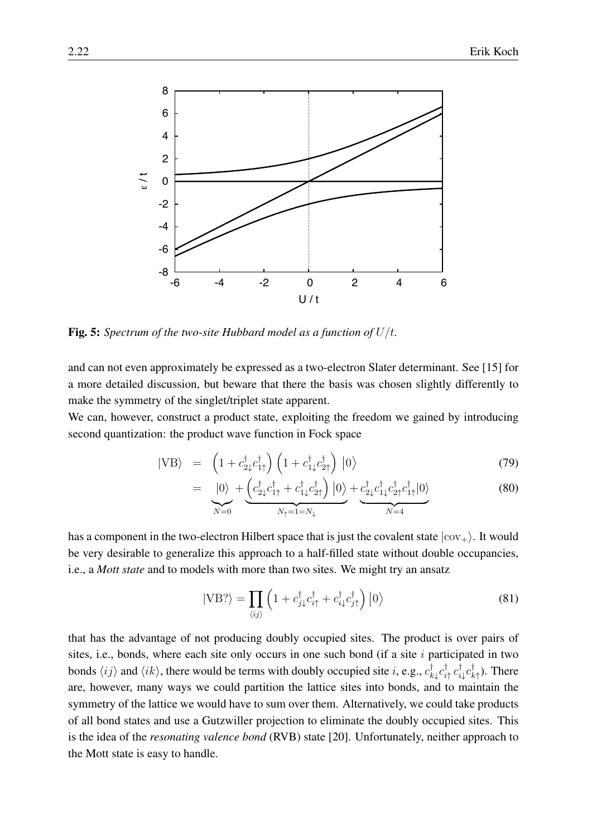

Fig. 5: *Spectrum of the two-site Hubbard model as a function of* U/t*.*

and can not even approximately be expressed as a two-electron Slater determinant. See [\[15\]](#page-24-14) for a more detailed discussion, but beware that there the basis was chosen slightly differently to make the symmetry of the singlet/triplet state apparent.

We can, however, construct a product state, exploiting the freedom we gained by introducing second quantization: the product wave function in Fock space

$$
|VB\rangle = \left(1 + c_{2\downarrow}^{\dagger} c_{1\uparrow}^{\dagger}\right) \left(1 + c_{1\downarrow}^{\dagger} c_{2\uparrow}^{\dagger}\right) |0\rangle \tag{79}
$$

$$
= \bigvee_{N=0}^{10} + \underbrace{\left(c_{2\downarrow}^{\dagger}c_{1\uparrow}^{\dagger} + c_{1\downarrow}^{\dagger}c_{2\uparrow}^{\dagger}\right)\left|0\right\rangle}_{N_{\uparrow}=1=N_{\downarrow}} + \underbrace{c_{2\downarrow}^{\dagger}c_{1\downarrow}^{\dagger}c_{2\uparrow}^{\dagger}c_{1\uparrow}^{\dagger}\left|0\right\rangle}_{N=4}
$$
(80)

has a component in the two-electron Hilbert space that is just the covalent state  $|cov_+\rangle$ . It would be very desirable to generalize this approach to a half-filled state without double occupancies, i.e., a *Mott state* and to models with more than two sites. We might try an ansatz

$$
|\text{VB?}\rangle = \prod_{\langle ij\rangle} \left( 1 + c_{j\downarrow}^{\dagger} c_{i\uparrow}^{\dagger} + c_{i\downarrow}^{\dagger} c_{j\uparrow}^{\dagger} \right) |0\rangle \tag{81}
$$

that has the advantage of not producing doubly occupied sites. The product is over pairs of sites, i.e., bonds, where each site only occurs in one such bond (if a site  $i$  participated in two bonds  $\langle ij \rangle$  and  $\langle ik \rangle$ , there would be terms with doubly occupied site i, e.g.,  $c_k^{\dagger}$  $_{k\downarrow}^{\dagger}c_{i}^{\dagger}$  $_{i\uparrow}^{\dagger}$   $c_{i\cdot}^{\dagger}$  $_{i\downarrow}^{\dagger}c_{k}^{\dagger}$  $\big\downarrow^{\dagger}_{k\uparrow}$ ). There are, however, many ways we could partition the lattice sites into bonds, and to maintain the symmetry of the lattice we would have to sum over them. Alternatively, we could take products of all bond states and use a Gutzwiller projection to eliminate the doubly occupied sites. This is the idea of the *resonating valence bond* (RVB) state [\[20\]](#page-25-2). Unfortunately, neither approach to the Mott state is easy to handle.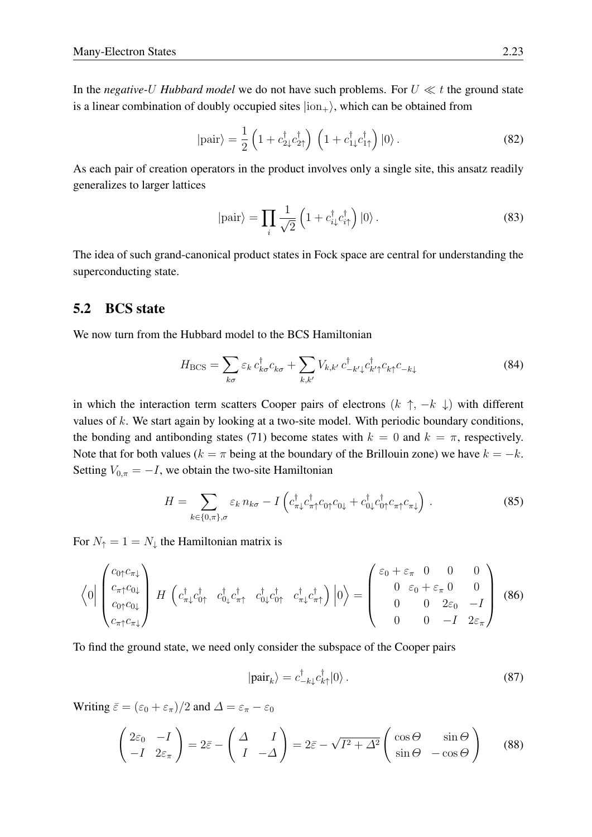In the *negative-U Hubbard model* we do not have such problems. For  $U \ll t$  the ground state is a linear combination of doubly occupied sites  $|ion_{+}\rangle$ , which can be obtained from

<span id="page-22-1"></span>
$$
|\text{pair}\rangle = \frac{1}{2} \left( 1 + c_{2\downarrow}^{\dagger} c_{2\uparrow}^{\dagger} \right) \left( 1 + c_{1\downarrow}^{\dagger} c_{1\uparrow}^{\dagger} \right) |0\rangle. \tag{82}
$$

As each pair of creation operators in the product involves only a single site, this ansatz readily generalizes to larger lattices

$$
|\text{pair}\rangle = \prod_{i} \frac{1}{\sqrt{2}} \left( 1 + c_{i\downarrow}^{\dagger} c_{i\uparrow}^{\dagger} \right) |0\rangle. \tag{83}
$$

The idea of such grand-canonical product states in Fock space are central for understanding the superconducting state.

#### <span id="page-22-0"></span>5.2 BCS state

We now turn from the Hubbard model to the BCS Hamiltonian

$$
H_{\rm BCS} = \sum_{k\sigma} \varepsilon_k \, c_{k\sigma}^\dagger c_{k\sigma} + \sum_{k,k'} V_{k,k'} \, c_{-k'\downarrow}^\dagger c_{k'\uparrow}^\dagger c_{k\uparrow} c_{-k\downarrow} \tag{84}
$$

in which the interaction term scatters Cooper pairs of electrons  $(k \uparrow, -k \downarrow)$  with different values of  $k$ . We start again by looking at a two-site model. With periodic boundary conditions, the bonding and antibonding states [\(71\)](#page-20-0) become states with  $k = 0$  and  $k = \pi$ , respectively. Note that for both values ( $k = \pi$  being at the boundary of the Brillouin zone) we have  $k = -k$ . Setting  $V_{0,\pi} = -I$ , we obtain the two-site Hamiltonian

$$
H = \sum_{k \in \{0,\pi\},\sigma} \varepsilon_k \, n_{k\sigma} - I \left( c_{\pi\downarrow}^\dagger c_{\pi\uparrow}^\dagger c_{0\uparrow} c_{0\downarrow} + c_{0\downarrow}^\dagger c_{0\uparrow}^\dagger c_{\pi\uparrow} c_{\pi\downarrow} \right) \,. \tag{85}
$$

For  $N_{\uparrow} = 1 = N_{\downarrow}$  the Hamiltonian matrix is

$$
\left\langle 0 \middle| \begin{pmatrix} c_{0\uparrow}c_{\pi\downarrow} \\ c_{\pi\uparrow}c_{0\downarrow} \\ c_{0\uparrow}c_{0\downarrow} \\ c_{\pi\uparrow}c_{\pi\downarrow} \end{pmatrix} H \begin{pmatrix} c_{\pi\downarrow}^{\dagger}c_{0\uparrow}^{\dagger} & c_{0\downarrow}^{\dagger}c_{\pi\uparrow}^{\dagger} & c_{0\downarrow}^{\dagger}c_{0\uparrow}^{\dagger} & c_{\pi\downarrow}^{\dagger}c_{\pi\uparrow}^{\dagger} \end{pmatrix} |0\rangle = \begin{pmatrix} \varepsilon_{0} + \varepsilon_{\pi} & 0 & 0 & 0 \\ 0 & \varepsilon_{0} + \varepsilon_{\pi} & 0 & 0 \\ 0 & 0 & 2\varepsilon_{0} & -I \\ 0 & 0 & -I & 2\varepsilon_{\pi} \end{pmatrix} (86)
$$

To find the ground state, we need only consider the subspace of the Cooper pairs

$$
|\text{pair}_k\rangle = c_{-k\downarrow}^\dagger c_{k\uparrow}^\dagger |0\rangle. \tag{87}
$$

Writing  $\bar{\varepsilon} = (\varepsilon_0 + \varepsilon_\pi)/2$  and  $\Delta = \varepsilon_\pi - \varepsilon_0$ 

$$
\begin{pmatrix} 2\varepsilon_0 & -I \\ -I & 2\varepsilon_\pi \end{pmatrix} = 2\bar{\varepsilon} - \begin{pmatrix} \Delta & I \\ I & -\Delta \end{pmatrix} = 2\bar{\varepsilon} - \sqrt{I^2 + \Delta^2} \begin{pmatrix} \cos\Theta & \sin\Theta \\ \sin\Theta & -\cos\Theta \end{pmatrix}
$$
 (88)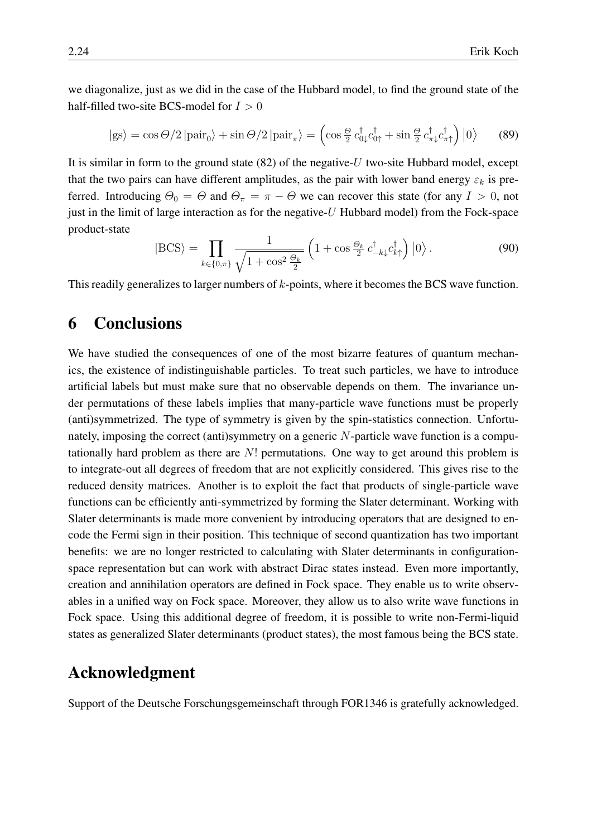we diagonalize, just as we did in the case of the Hubbard model, to find the ground state of the half-filled two-site BCS-model for  $I > 0$ 

$$
|{\rm gs}\rangle = \cos\Theta/2\left|{\rm pair}_0\right\rangle + \sin\Theta/2\left|{\rm pair}_\pi\right\rangle = \left(\cos\frac{\Theta}{2}c_{0\downarrow}^\dagger c_{0\uparrow}^\dagger + \sin\frac{\Theta}{2}c_{\pi\downarrow}^\dagger c_{\pi\uparrow}^\dagger\right)\left|0\right\rangle\tag{89}
$$

It is similar in form to the ground state  $(82)$  of the negative-U two-site Hubbard model, except that the two pairs can have different amplitudes, as the pair with lower band energy  $\varepsilon_k$  is preferred. Introducing  $\Theta_0 = \Theta$  and  $\Theta_\pi = \pi - \Theta$  we can recover this state (for any  $I > 0$ , not just in the limit of large interaction as for the negative- $U$  Hubbard model) from the Fock-space product-state

$$
|\text{BCS}\rangle = \prod_{k \in \{0,\pi\}} \frac{1}{\sqrt{1 + \cos^2 \frac{\Theta_k}{2}}} \left(1 + \cos \frac{\Theta_k}{2} c_{-k\downarrow}^\dagger c_{k\uparrow}^\dagger\right) |0\rangle. \tag{90}
$$

This readily generalizes to larger numbers of k-points, where it becomes the BCS wave function.

### <span id="page-23-0"></span>6 Conclusions

We have studied the consequences of one of the most bizarre features of quantum mechanics, the existence of indistinguishable particles. To treat such particles, we have to introduce artificial labels but must make sure that no observable depends on them. The invariance under permutations of these labels implies that many-particle wave functions must be properly (anti)symmetrized. The type of symmetry is given by the spin-statistics connection. Unfortunately, imposing the correct (anti)symmetry on a generic  $N$ -particle wave function is a computationally hard problem as there are  $N!$  permutations. One way to get around this problem is to integrate-out all degrees of freedom that are not explicitly considered. This gives rise to the reduced density matrices. Another is to exploit the fact that products of single-particle wave functions can be efficiently anti-symmetrized by forming the Slater determinant. Working with Slater determinants is made more convenient by introducing operators that are designed to encode the Fermi sign in their position. This technique of second quantization has two important benefits: we are no longer restricted to calculating with Slater determinants in configurationspace representation but can work with abstract Dirac states instead. Even more importantly, creation and annihilation operators are defined in Fock space. They enable us to write observables in a unified way on Fock space. Moreover, they allow us to also write wave functions in Fock space. Using this additional degree of freedom, it is possible to write non-Fermi-liquid states as generalized Slater determinants (product states), the most famous being the BCS state.

### Acknowledgment

Support of the Deutsche Forschungsgemeinschaft through FOR1346 is gratefully acknowledged.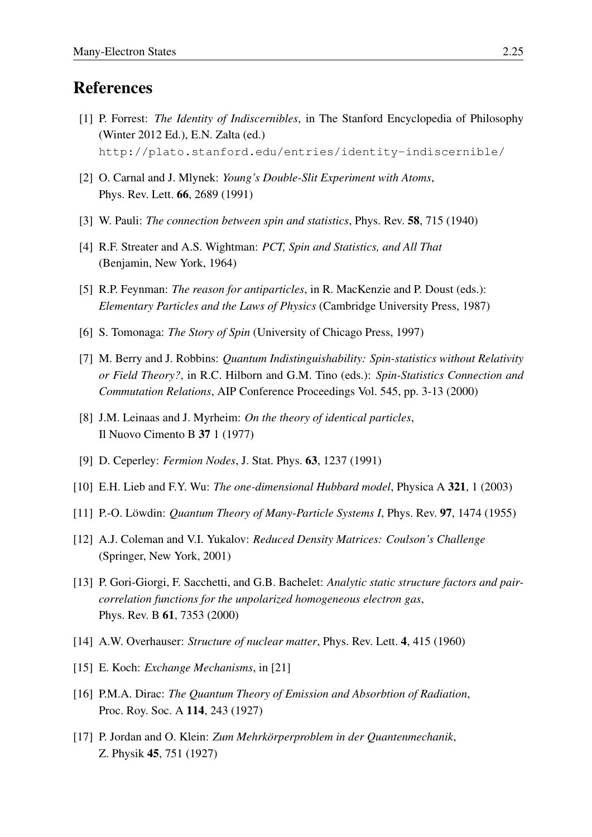### References

- <span id="page-24-0"></span>[1] P. Forrest: *The Identity of Indiscernibles*, in The Stanford Encyclopedia of Philosophy (Winter 2012 Ed.), E.N. Zalta (ed.) <http://plato.stanford.edu/entries/identity-indiscernible/>
- <span id="page-24-1"></span>[2] O. Carnal and J. Mlynek: *Young's Double-Slit Experiment with Atoms*, Phys. Rev. Lett. 66, 2689 (1991)
- <span id="page-24-2"></span>[3] W. Pauli: *The connection between spin and statistics*, Phys. Rev. 58, 715 (1940)
- <span id="page-24-3"></span>[4] R.F. Streater and A.S. Wightman: *PCT, Spin and Statistics, and All That* (Benjamin, New York, 1964)
- <span id="page-24-4"></span>[5] R.P. Feynman: *The reason for antiparticles*, in R. MacKenzie and P. Doust (eds.): *Elementary Particles and the Laws of Physics* (Cambridge University Press, 1987)
- <span id="page-24-5"></span>[6] S. Tomonaga: *The Story of Spin* (University of Chicago Press, 1997)
- <span id="page-24-6"></span>[7] M. Berry and J. Robbins: *Quantum Indistinguishability: Spin-statistics without Relativity or Field Theory?*, in R.C. Hilborn and G.M. Tino (eds.): *Spin-Statistics Connection and Commutation Relations*, AIP Conference Proceedings Vol. 545, pp. 3-13 (2000)
- <span id="page-24-7"></span>[8] J.M. Leinaas and J. Myrheim: *On the theory of identical particles*, Il Nuovo Cimento B 37 1 (1977)
- <span id="page-24-8"></span>[9] D. Ceperley: *Fermion Nodes*, J. Stat. Phys. 63, 1237 (1991)
- <span id="page-24-9"></span>[10] E.H. Lieb and F.Y. Wu: *The one-dimensional Hubbard model*, Physica A 321, 1 (2003)
- <span id="page-24-10"></span>[11] P.-O. Löwdin: *Quantum Theory of Many-Particle Systems I*, Phys. Rev. 97, 1474 (1955)
- <span id="page-24-11"></span>[12] A.J. Coleman and V.I. Yukalov: *Reduced Density Matrices: Coulson's Challenge* (Springer, New York, 2001)
- <span id="page-24-12"></span>[13] P. Gori-Giorgi, F. Sacchetti, and G.B. Bachelet: *Analytic static structure factors and paircorrelation functions for the unpolarized homogeneous electron gas*, Phys. Rev. B 61, 7353 (2000)
- <span id="page-24-13"></span>[14] A.W. Overhauser: *Structure of nuclear matter*, Phys. Rev. Lett. 4, 415 (1960)
- <span id="page-24-14"></span>[15] E. Koch: *Exchange Mechanisms*, in [\[21\]](#page-25-3)
- <span id="page-24-15"></span>[16] P.M.A. Dirac: *The Quantum Theory of Emission and Absorbtion of Radiation*, Proc. Roy. Soc. A 114, 243 (1927)
- <span id="page-24-16"></span>[17] P. Jordan and O. Klein: *Zum Mehrkörperproblem in der Quantenmechanik*, Z. Physik 45, 751 (1927)